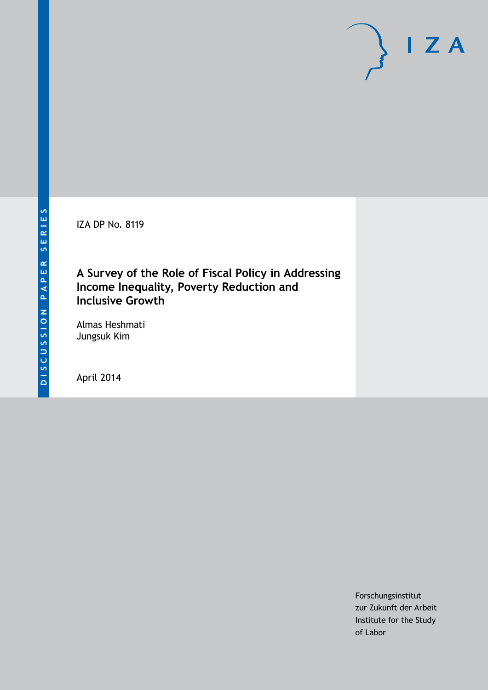IZA DP No. 8119

# **A Survey of the Role of Fiscal Policy in Addressing Income Inequality, Poverty Reduction and Inclusive Growth**

Almas Heshmati Jungsuk Kim

April 2014

Forschungsinstitut zur Zukunft der Arbeit Institute for the Study of Labor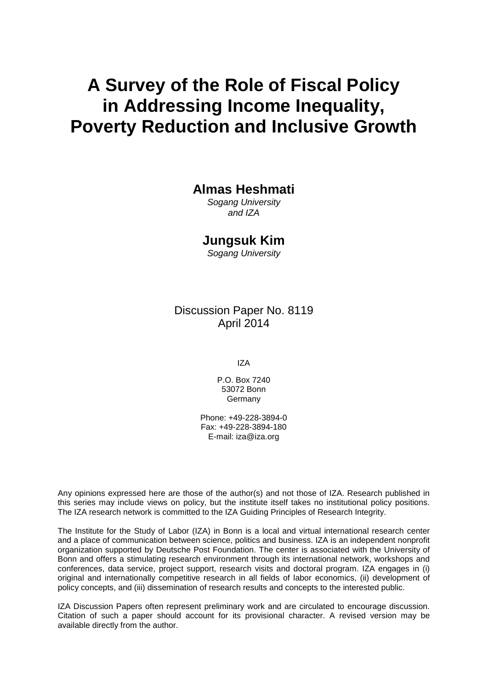# **A Survey of the Role of Fiscal Policy in Addressing Income Inequality, Poverty Reduction and Inclusive Growth**

## **Almas Heshmati**

*Sogang University and IZA*

## **Jungsuk Kim**

*Sogang University*

# Discussion Paper No. 8119 April 2014

IZA

P.O. Box 7240 53072 Bonn **Germany** 

Phone: +49-228-3894-0 Fax: +49-228-3894-180 E-mail: [iza@iza.org](mailto:iza@iza.org)

Any opinions expressed here are those of the author(s) and not those of IZA. Research published in this series may include views on policy, but the institute itself takes no institutional policy positions. The IZA research network is committed to the IZA Guiding Principles of Research Integrity.

The Institute for the Study of Labor (IZA) in Bonn is a local and virtual international research center and a place of communication between science, politics and business. IZA is an independent nonprofit organization supported by Deutsche Post Foundation. The center is associated with the University of Bonn and offers a stimulating research environment through its international network, workshops and conferences, data service, project support, research visits and doctoral program. IZA engages in (i) original and internationally competitive research in all fields of labor economics, (ii) development of policy concepts, and (iii) dissemination of research results and concepts to the interested public.

IZA Discussion Papers often represent preliminary work and are circulated to encourage discussion. Citation of such a paper should account for its provisional character. A revised version may be available directly from the author.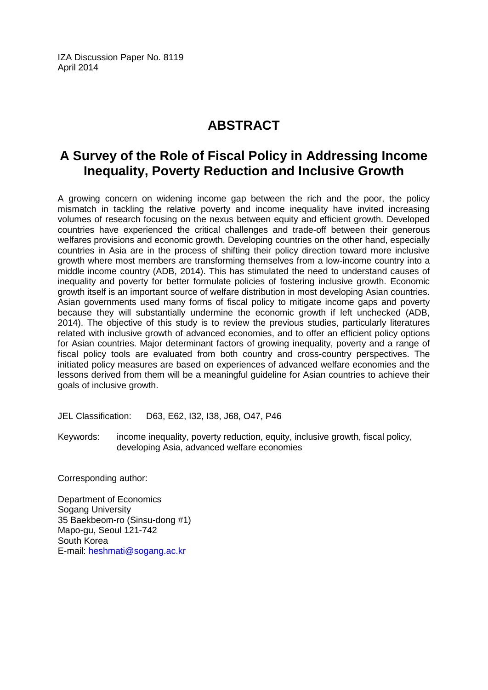IZA Discussion Paper No. 8119 April 2014

# **ABSTRACT**

# **A Survey of the Role of Fiscal Policy in Addressing Income Inequality, Poverty Reduction and Inclusive Growth**

A growing concern on widening income gap between the rich and the poor, the policy mismatch in tackling the relative poverty and income inequality have invited increasing volumes of research focusing on the nexus between equity and efficient growth. Developed countries have experienced the critical challenges and trade-off between their generous welfares provisions and economic growth. Developing countries on the other hand, especially countries in Asia are in the process of shifting their policy direction toward more inclusive growth where most members are transforming themselves from a low-income country into a middle income country (ADB, 2014). This has stimulated the need to understand causes of inequality and poverty for better formulate policies of fostering inclusive growth. Economic growth itself is an important source of welfare distribution in most developing Asian countries. Asian governments used many forms of fiscal policy to mitigate income gaps and poverty because they will substantially undermine the economic growth if left unchecked (ADB, 2014). The objective of this study is to review the previous studies, particularly literatures related with inclusive growth of advanced economies, and to offer an efficient policy options for Asian countries. Major determinant factors of growing inequality, poverty and a range of fiscal policy tools are evaluated from both country and cross-country perspectives. The initiated policy measures are based on experiences of advanced welfare economies and the lessons derived from them will be a meaningful guideline for Asian countries to achieve their goals of inclusive growth.

JEL Classification: D63, E62, I32, I38, J68, O47, P46

Keywords: income inequality, poverty reduction, equity, inclusive growth, fiscal policy, developing Asia, advanced welfare economies

Corresponding author:

Department of Economics Sogang University 35 Baekbeom-ro (Sinsu-dong #1) Mapo-gu, Seoul 121-742 South Korea E-mail: [heshmati@sogang.ac.kr](mailto:heshmati@sogang.ac.kr)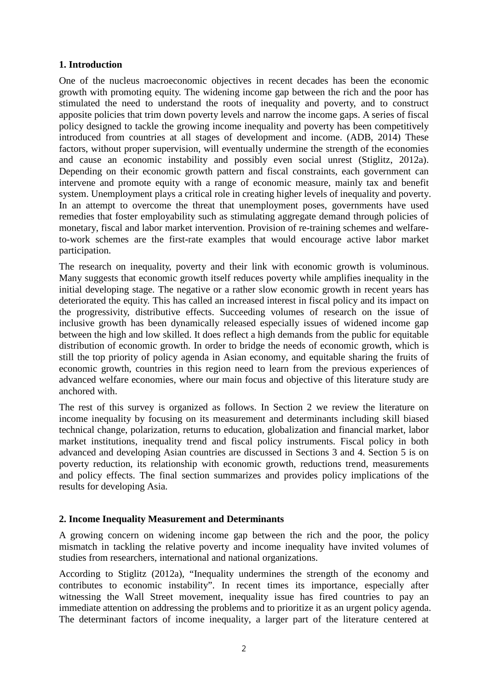#### **1. Introduction**

One of the nucleus macroeconomic objectives in recent decades has been the economic growth with promoting equity. The widening income gap between the rich and the poor has stimulated the need to understand the roots of inequality and poverty, and to construct apposite policies that trim down poverty levels and narrow the income gaps. A series of fiscal policy designed to tackle the growing income inequality and poverty has been competitively introduced from countries at all stages of development and income. (ADB, 2014) These factors, without proper supervision, will eventually undermine the strength of the economies and cause an economic instability and possibly even social unrest (Stiglitz, 2012a). Depending on their economic growth pattern and fiscal constraints, each government can intervene and promote equity with a range of economic measure, mainly tax and benefit system. Unemployment plays a critical role in creating higher levels of inequality and poverty. In an attempt to overcome the threat that unemployment poses, governments have used remedies that foster employability such as stimulating aggregate demand through policies of [monetary,](http://www.economicsonline.co.uk/Managing_the_economy/Monetary-policy.html) fiscal and labor market intervention. Provision of re-training schemes and welfareto-work schemes are the first-rate examples that would encourage active labor market participation.

The research on inequality, poverty and their link with economic growth is voluminous. Many suggests that economic growth itself reduces poverty while amplifies inequality in the initial developing stage. The negative or a rather slow economic growth in recent years has deteriorated the equity. This has called an increased interest in fiscal policy and its impact on the progressivity, distributive effects. Succeeding volumes of research on the issue of inclusive growth has been dynamically released especially issues of widened income gap between the high and low skilled. It does reflect a high demands from the public for equitable distribution of economic growth. In order to bridge the needs of economic growth, which is still the top priority of policy agenda in Asian economy, and equitable sharing the fruits of economic growth, countries in this region need to learn from the previous experiences of advanced welfare economies, where our main focus and objective of this literature study are anchored with.

The rest of this survey is organized as follows. In Section 2 we review the literature on income inequality by focusing on its measurement and determinants including skill biased technical change, polarization, returns to education, globalization and financial market, labor market institutions, inequality trend and fiscal policy instruments. Fiscal policy in both advanced and developing Asian countries are discussed in Sections 3 and 4. Section 5 is on poverty reduction, its relationship with economic growth, reductions trend, measurements and policy effects. The final section summarizes and provides policy implications of the results for developing Asia.

#### **2. Income Inequality Measurement and Determinants**

A growing concern on widening income gap between the rich and the poor, the policy mismatch in tackling the relative poverty and income inequality have invited volumes of studies from researchers, international and national organizations.

According to Stiglitz (2012a), "Inequality undermines the strength of the economy and contributes to economic instability". In recent times its importance, especially after witnessing the Wall Street movement, inequality issue has fired countries to pay an immediate attention on addressing the problems and to prioritize it as an urgent policy agenda. The determinant factors of income inequality, a larger part of the literature centered at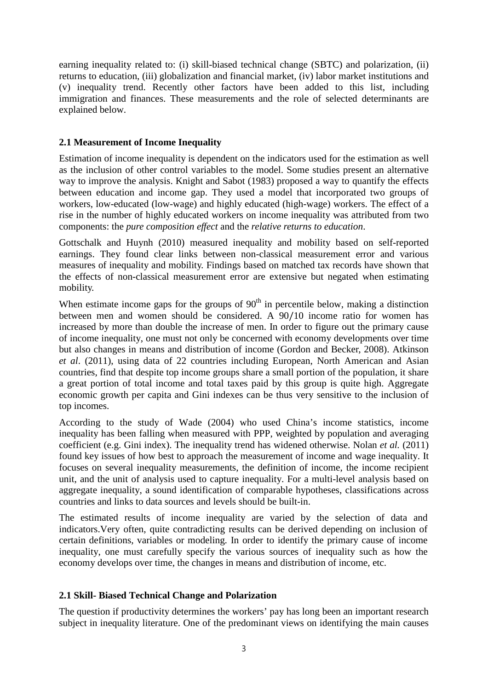earning inequality related to: (i) skill-biased technical change (SBTC) and polarization, (ii) returns to education, (iii) globalization and financial market, (iv) labor market institutions and (v) inequality trend. Recently other factors have been added to this list, including immigration and finances. These measurements and the role of selected determinants are explained below.

#### **2.1 Measurement of Income Inequality**

Estimation of income inequality is dependent on the indicators used for the estimation as well as the inclusion of other control variables to the model. Some studies present an alternative way to improve the analysis. Knight and Sabot (1983) proposed a way to quantify the effects between education and income gap. They used a model that incorporated two groups of workers, low-educated (low-wage) and highly educated (high-wage) workers. The effect of a rise in the number of highly educated workers on income inequality was attributed from two components: the *pure composition effect* and the *relative returns to education*.

Gottschalk and Huynh (2010) measured inequality and mobility based on self-reported earnings. They found clear links between non-classical measurement error and various measures of inequality and mobility. Findings based on matched tax records have shown that the effects of non-classical measurement error are extensive but negated when estimating mobility.

When estimate income gaps for the groups of  $90<sup>th</sup>$  in percentile below, making a distinction between men and women should be considered. A 90/10 income ratio for women has increased by more than double the increase of men. In order to figure out the primary cause of income inequality, one must not only be concerned with economy developments over time but also changes in means and distribution of income (Gordon and Becker, 2008). Atkinson *et al*. (2011), using data of 22 countries including European, North American and Asian countries, find that despite top income groups share a small portion of the population, it share a great portion of total income and total taxes paid by this group is quite high. Aggregate economic growth per capita and Gini indexes can be thus very sensitive to the inclusion of top incomes.

According to the study of Wade (2004) who used China's income statistics, income inequality has been falling when measured with PPP, weighted by population and averaging coefficient (e.g. Gini index). The inequality trend has widened otherwise. Nolan *et al.* (2011) found key issues of how best to approach the measurement of income and wage inequality. It focuses on several inequality measurements, the definition of income, the income recipient unit, and the unit of analysis used to capture inequality. For a multi-level analysis based on aggregate inequality, a sound identification of comparable hypotheses, classifications across countries and links to data sources and levels should be built-in.

The estimated results of income inequality are varied by the selection of data and indicators.Very often, quite contradicting results can be derived depending on inclusion of certain definitions, variables or modeling. In order to identify the primary cause of income inequality, one must carefully specify the various sources of inequality such as how the economy develops over time, the changes in means and distribution of income, etc.

#### **2.1 Skill- Biased Technical Change and Polarization**

The question if productivity determines the workers' pay has long been an important research subject in inequality literature. One of the predominant views on identifying the main causes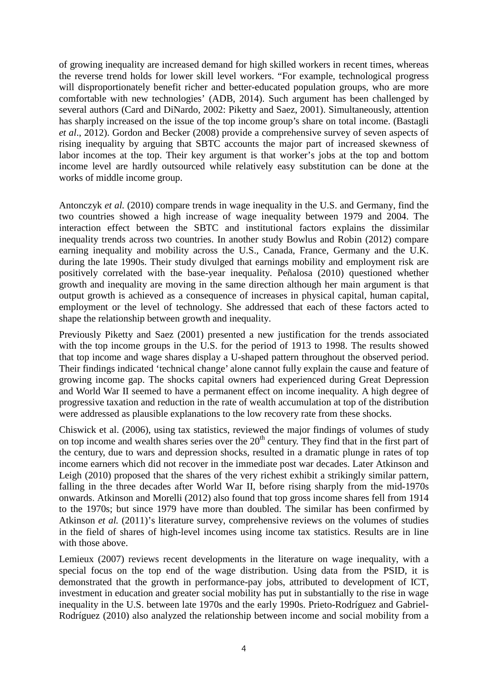of growing inequality are increased demand for high skilled workers in recent times, whereas the reverse trend holds for lower skill level workers. "For example, technological progress will disproportionately benefit richer and better-educated population groups, who are more comfortable with new technologies' (ADB, 2014). Such argument has been challenged by several authors (Card and DiNardo, 2002: Piketty and Saez, 2001). Simultaneously, attention has sharply increased on the issue of the top income group's share on total income. (Bastagli *et al*., 2012). Gordon and Becker (2008) provide a comprehensive survey of seven aspects of rising inequality by arguing that SBTC accounts the major part of increased skewness of labor incomes at the top. Their key argument is that worker's jobs at the top and bottom income level are hardly outsourced while relatively easy substitution can be done at the works of middle income group.

Antonczyk *et al.* (2010) compare trends in wage inequality in the U.S. and Germany, find the two countries showed a high increase of wage inequality between 1979 and 2004. The interaction effect between the SBTC and institutional factors explains the dissimilar inequality trends across two countries. In another study Bowlus and Robin (2012) compare earning inequality and mobility across the U.S., Canada, France, Germany and the U.K. during the late 1990s. Their study divulged that earnings mobility and employment risk are positively correlated with the base-year inequality. Peñalosa (2010) questioned whether growth and inequality are moving in the same direction although her main argument is that output growth is achieved as a consequence of increases in physical capital, human capital, employment or the level of technology. She addressed that each of these factors acted to shape the relationship between growth and inequality.

Previously Piketty and Saez (2001) presented a new justification for the trends associated with the top income groups in the U.S. for the period of 1913 to 1998. The results showed that top income and wage shares display a U-shaped pattern throughout the observed period. Their findings indicated 'technical change' alone cannot fully explain the cause and feature of growing income gap. The shocks capital owners had experienced during Great Depression and World War II seemed to have a permanent effect on income inequality. A high degree of progressive taxation and reduction in the rate of wealth accumulation at top of the distribution were addressed as plausible explanations to the low recovery rate from these shocks.

Chiswick et al. (2006), using tax statistics, reviewed the major findings of volumes of study on top income and wealth shares series over the  $20<sup>th</sup>$  century. They find that in the first part of the century, due to wars and depression shocks, resulted in a dramatic plunge in rates of top income earners which did not recover in the immediate post war decades. Later Atkinson and Leigh (2010) proposed that the shares of the very richest exhibit a strikingly similar pattern, falling in the three decades after World War II, before rising sharply from the mid-1970s onwards. Atkinson and Morelli (2012) also found that top gross income shares fell from 1914 to the 1970s; but since 1979 have more than doubled. The similar has been confirmed by Atkinson *et al.* (2011)'s literature survey, comprehensive reviews on the volumes of studies in the field of shares of high-level incomes using income tax statistics. Results are in line with those above.

Lemieux (2007) reviews recent developments in the literature on wage inequality, with a special focus on the top end of the wage distribution. Using data from the PSID, it is demonstrated that the growth in performance-pay jobs, attributed to development of ICT, investment in education and greater social mobility has put in substantially to the rise in wage inequality in the U.S. between late 1970s and the early 1990s. Prieto-Rodríguez and Gabriel-Rodríguez (2010) also analyzed the relationship between income and social mobility from a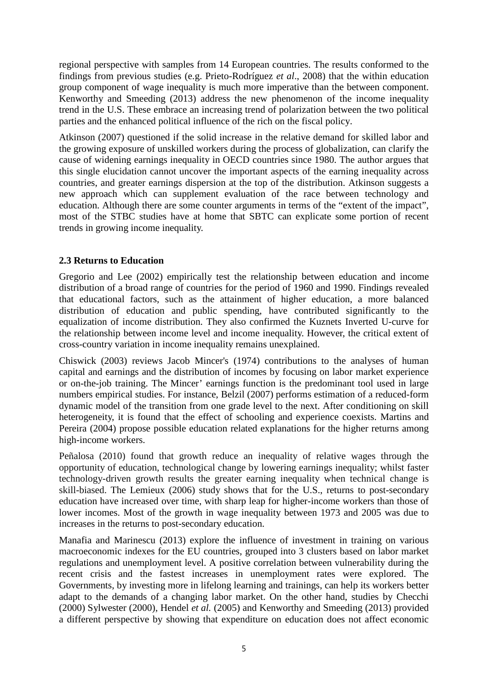regional perspective with samples from 14 European countries. The results conformed to the findings from previous studies (e.g. Prieto-Rodríguez *et al*., 2008) that the within education group component of wage inequality is much more imperative than the between component. Kenworthy and Smeeding (2013) address the new phenomenon of the income inequality trend in the U.S. These embrace an increasing trend of polarization between the two political parties and the enhanced political influence of the rich on the fiscal policy.

Atkinson (2007) questioned if the solid increase in the relative demand for skilled labor and the growing exposure of unskilled workers during the process of globalization, can clarify the cause of widening earnings inequality in OECD countries since 1980. The author argues that this single elucidation cannot uncover the important aspects of the earning inequality across countries, and greater earnings dispersion at the top of the distribution. Atkinson suggests a new approach which can supplement evaluation of the race between technology and education. Although there are some counter arguments in terms of the "extent of the impact", most of the STBC studies have at home that SBTC can explicate some portion of recent trends in growing income inequality.

#### **2.3 Returns to Education**

Gregorio and Lee (2002) empirically test the relationship between education and income distribution of a broad range of countries for the period of 1960 and 1990. Findings revealed that educational factors, such as the attainment of higher education, a more balanced distribution of education and public spending, have contributed significantly to the equalization of income distribution. They also confirmed the Kuznets Inverted U-curve for the relationship between income level and income inequality. However, the critical extent of cross-country variation in income inequality remains unexplained.

Chiswick (2003) reviews Jacob Mincer's (1974) contributions to the analyses of human capital and earnings and the distribution of incomes by focusing on labor market experience or on-the-job training. The Mincer' earnings function is the predominant tool used in large numbers empirical studies. For instance, Belzil (2007) performs estimation of a reduced-form dynamic model of the transition from one grade level to the next. After conditioning on skill heterogeneity, it is found that the effect of schooling and experience coexists. Martins and Pereira (2004) propose possible education related explanations for the higher returns among high-income workers.

Peñalosa (2010) found that growth reduce an inequality of relative wages through the opportunity of education, technological change by lowering earnings inequality; whilst faster technology-driven growth results the greater earning inequality when technical change is skill-biased. The Lemieux (2006) study shows that for the U.S., returns to post-secondary education have increased over time, with sharp leap for higher-income workers than those of lower incomes. Most of the growth in wage inequality between 1973 and 2005 was due to increases in the returns to post-secondary education.

Manafia and Marinescu (2013) explore the influence of investment in training on various macroeconomic indexes for the EU countries, grouped into 3 clusters based on labor market regulations and unemployment level. A positive correlation between vulnerability during the recent crisis and the fastest increases in unemployment rates were explored. The Governments, by investing more in lifelong learning and trainings, can help its workers better adapt to the demands of a changing labor market. On the other hand, studies by Checchi (2000) Sylwester (2000), Hendel *et al.* (2005) and Kenworthy and Smeeding (2013) provided a different perspective by showing that expenditure on education does not affect economic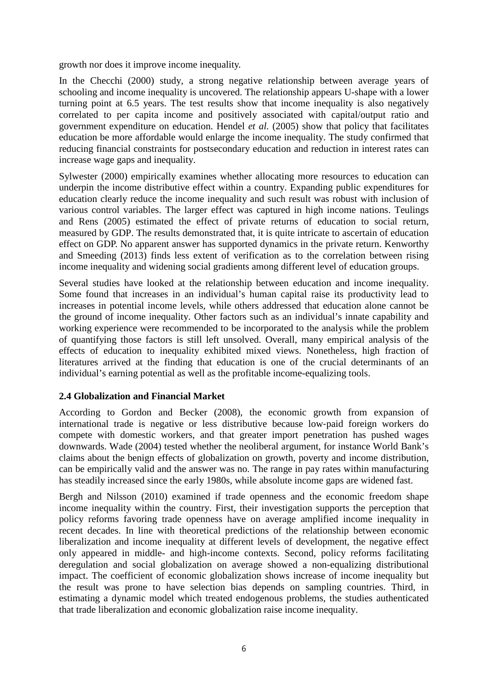growth nor does it improve income inequality.

In the Checchi (2000) study, a strong negative relationship between average years of schooling and income inequality is uncovered. The relationship appears U-shape with a lower turning point at 6.5 years. The test results show that income inequality is also negatively correlated to per capita income and positively associated with capital/output ratio and government expenditure on education. Hendel *et al.* (2005) show that policy that facilitates education be more affordable would enlarge the income inequality. The study confirmed that reducing financial constraints for postsecondary education and reduction in interest rates can increase wage gaps and inequality.

Sylwester (2000) empirically examines whether allocating more resources to education can underpin the income distributive effect within a country. Expanding public expenditures for education clearly reduce the income inequality and such result was robust with inclusion of various control variables. The larger effect was captured in high income nations. Teulings and Rens (2005) estimated the effect of private returns of education to social return, measured by GDP. The results demonstrated that, it is quite intricate to ascertain of education effect on GDP. No apparent answer has supported dynamics in the private return. Kenworthy and Smeeding (2013) finds less extent of verification as to the correlation between rising income inequality and widening social gradients among different level of education groups.

Several studies have looked at the relationship between education and income inequality. Some found that increases in an individual's human capital raise its productivity lead to increases in potential income levels, while others addressed that education alone cannot be the ground of income inequality. Other factors such as an individual's innate capability and working experience were recommended to be incorporated to the analysis while the problem of quantifying those factors is still left unsolved. Overall, many empirical analysis of the effects of education to inequality exhibited mixed views. Nonetheless, high fraction of literatures arrived at the finding that education is one of the crucial determinants of an individual's earning potential as well as the profitable income-equalizing tools.

#### **2.4 Globalization and Financial Market**

According to Gordon and Becker (2008), the economic growth from expansion of international trade is negative or less distributive because low‐paid foreign workers do compete with domestic workers, and that greater import penetration has pushed wages downwards. Wade (2004) tested whether the neoliberal argument, for instance World Bank's claims about the benign effects of globalization on growth, poverty and income distribution, can be empirically valid and the answer was no. The range in pay rates within manufacturing has steadily increased since the early 1980s, while absolute income gaps are widened fast.

Bergh and Nilsson (2010) examined if trade openness and the economic freedom shape income inequality within the country. First, their investigation supports the perception that policy reforms favoring trade openness have on average amplified income inequality in recent decades. In line with theoretical predictions of the relationship between economic liberalization and income inequality at different levels of development, the negative effect only appeared in middle- and high-income contexts. Second, policy reforms facilitating deregulation and social globalization on average showed a non-equalizing distributional impact. The coefficient of economic globalization shows increase of income inequality but the result was prone to have selection bias depends on sampling countries. Third, in estimating a dynamic model which treated endogenous problems, the studies authenticated that trade liberalization and economic globalization raise income inequality.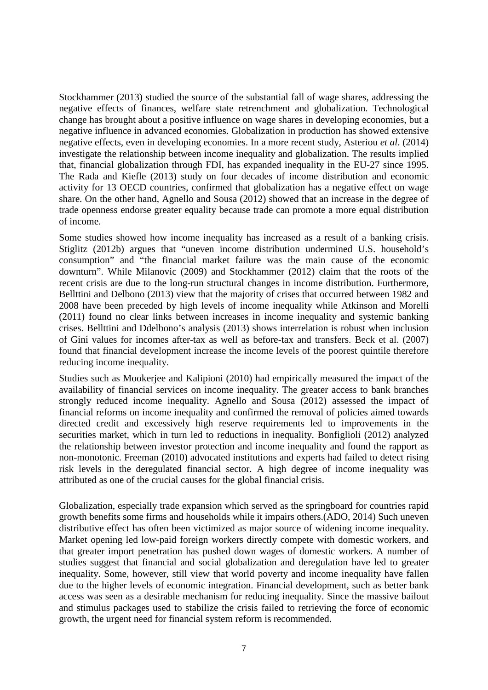Stockhammer (2013) studied the source of the substantial fall of wage shares, addressing the negative effects of finances, welfare state retrenchment and globalization. Technological change has brought about a positive influence on wage shares in developing economies, but a negative influence in advanced economies. Globalization in production has showed extensive negative effects, even in developing economies. In a more recent study, Asteriou *et al*. (2014) investigate the relationship between income inequality and globalization. The results implied that, financial globalization through FDI, has expanded inequality in the EU-27 since 1995. The Rada and Kiefle (2013) study on four decades of income distribution and economic activity for 13 OECD countries, confirmed that globalization has a negative effect on wage share. On the other hand, Agnello and Sousa (2012) showed that an increase in the degree of trade openness endorse greater equality because trade can promote a more equal distribution of income.

Some studies showed how income inequality has increased as a result of a banking crisis. Stiglitz (2012b) argues that "uneven income distribution undermined U.S. household's consumption" and "the financial market failure was the main cause of the economic downturn". While Milanovic (2009) and Stockhammer (2012) claim that the roots of the recent crisis are due to the long-run structural changes in income distribution. Furthermore, Bellttini and Delbono (2013) view that the majority of crises that occurred between 1982 and 2008 have been preceded by high levels of income inequality while Atkinson and Morelli (2011) found no clear links between increases in income inequality and systemic banking crises. Bellttini and Ddelbono's analysis (2013) shows interrelation is robust when inclusion of Gini values for incomes after-tax as well as before-tax and transfers. Beck et al. (2007) found that financial development increase the income levels of the poorest quintile therefore reducing income inequality.

Studies such as Mookerjee and Kalipioni (2010) had empirically measured the impact of the availability of financial services on income inequality. The greater access to bank branches strongly reduced income inequality. Agnello and Sousa (2012) assessed the impact of financial reforms on income inequality and confirmed the removal of policies aimed towards directed credit and excessively high reserve requirements led to improvements in the securities market, which in turn led to reductions in inequality. Bonfiglioli (2012) analyzed the relationship between investor protection and income inequality and found the rapport as non-monotonic. Freeman (2010) advocated institutions and experts had failed to detect rising risk levels in the deregulated financial sector. A high degree of income inequality was attributed as one of the crucial causes for the global financial crisis.

Globalization, especially trade expansion which served as the springboard for countries rapid growth benefits some firms and households while it impairs others.(ADO, 2014) Such uneven distributive effect has often been victimized as major source of widening income inequality. Market opening led low-paid foreign workers directly compete with domestic workers, and that greater import penetration has pushed down wages of domestic workers. A number of studies suggest that financial and social globalization and deregulation have led to greater inequality. Some, however, still view that world poverty and income inequality have fallen due to the higher levels of economic integration. Financial development, such as better bank access was seen as a desirable mechanism for reducing inequality. Since the massive bailout and stimulus packages used to stabilize the crisis failed to retrieving the force of economic growth, the urgent need for financial system reform is recommended.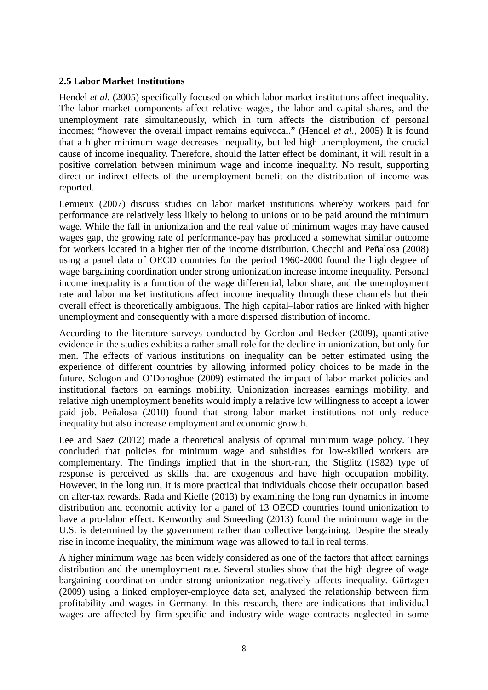#### **2.5 Labor Market Institutions**

Hendel *et al.* (2005) specifically focused on which labor market institutions affect inequality. The labor market components affect relative wages, the labor and capital shares, and the unemployment rate simultaneously, which in turn affects the distribution of personal incomes; "however the overall impact remains equivocal." (Hendel *et al.,* 2005) It is found that a higher minimum wage decreases inequality, but led high unemployment, the crucial cause of income inequality. Therefore, should the latter effect be dominant, it will result in a positive correlation between minimum wage and income inequality. No result, supporting direct or indirect effects of the unemployment benefit on the distribution of income was reported.

Lemieux (2007) discuss studies on labor market institutions whereby workers paid for performance are relatively less likely to belong to unions or to be paid around the minimum wage. While the fall in unionization and the real value of minimum wages may have caused wages gap, the growing rate of performance-pay has produced a somewhat similar outcome for workers located in a higher tier of the income distribution. Checchi and Peñalosa (2008) using a panel data of OECD countries for the period 1960-2000 found the high degree of wage bargaining coordination under strong unionization increase income inequality. Personal income inequality is a function of the wage differential, labor share, and the unemployment rate and labor market institutions affect income inequality through these channels but their overall effect is theoretically ambiguous. The high capital–labor ratios are linked with higher unemployment and consequently with a more dispersed distribution of income.

According to the literature surveys conducted by Gordon and Becker (2009), quantitative evidence in the studies exhibits a rather small role for the decline in unionization, but only for men. The effects of various institutions on inequality can be better estimated using the experience of different countries by allowing informed policy choices to be made in the future. Sologon and O'Donoghue (2009) estimated the impact of labor market policies and institutional factors on earnings mobility. Unionization increases earnings mobility, and relative high unemployment benefits would imply a relative low willingness to accept a lower paid job. Peñalosa (2010) found that strong labor market institutions not only reduce inequality but also increase employment and economic growth.

Lee and Saez (2012) made a theoretical analysis of optimal minimum wage policy. They concluded that policies for minimum wage and subsidies for low-skilled workers are complementary. The findings implied that in the short-run, the Stiglitz (1982) type of response is perceived as skills that are exogenous and have high occupation mobility. However, in the long run, it is more practical that individuals choose their occupation based on after-tax rewards. Rada and Kiefle (2013) by examining the long run dynamics in income distribution and economic activity for a panel of 13 OECD countries found unionization to have a pro-labor effect. Kenworthy and Smeeding (2013) found the minimum wage in the U.S. is determined by the government rather than collective bargaining. Despite the steady rise in income inequality, the minimum wage was allowed to fall in real terms.

A higher minimum wage has been widely considered as one of the factors that affect earnings distribution and the unemployment rate. Several studies show that the high degree of wage bargaining coordination under strong unionization negatively affects inequality. Gürtzgen (2009) using a linked employer-employee data set, analyzed the relationship between firm profitability and wages in Germany. In this research, there are indications that individual wages are affected by firm-specific and industry-wide wage contracts neglected in some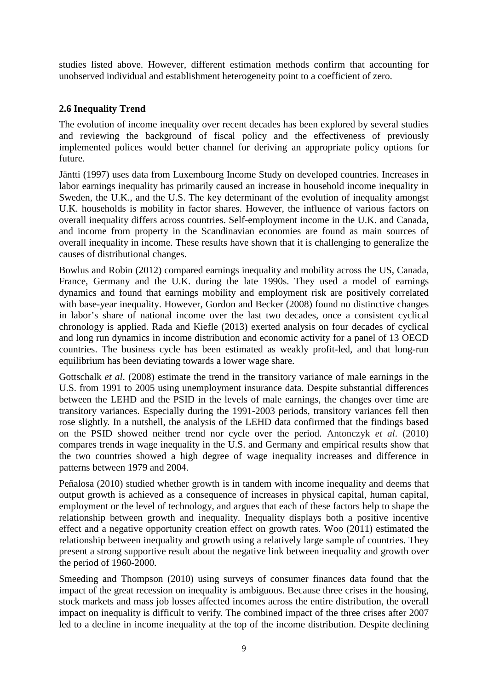studies listed above. However, different estimation methods confirm that accounting for unobserved individual and establishment heterogeneity point to a coefficient of zero.

### **2.6 Inequality Trend**

The evolution of income inequality over recent decades has been explored by several studies and reviewing the background of fiscal policy and the effectiveness of previously implemented polices would better channel for deriving an appropriate policy options for future.

Jäntti (1997) uses data from Luxembourg Income Study on developed countries. Increases in labor earnings inequality has primarily caused an increase in household income inequality in Sweden, the U.K., and the U.S. The key determinant of the evolution of inequality amongst U.K. households is mobility in factor shares. However, the influence of various factors on overall inequality differs across countries. Self-employment income in the U.K. and Canada, and income from property in the Scandinavian economies are found as main sources of overall inequality in income. These results have shown that it is challenging to generalize the causes of distributional changes.

Bowlus and Robin (2012) compared earnings inequality and mobility across the US, Canada, France, Germany and the U.K. during the late 1990s. They used a model of earnings dynamics and found that earnings mobility and employment risk are positively correlated with base-year inequality. However, Gordon and Becker (2008) found no distinctive changes in labor's share of national income over the last two decades, once a consistent cyclical chronology is applied. Rada and Kiefle (2013) exerted analysis on four decades of cyclical and long run dynamics in income distribution and economic activity for a panel of 13 OECD countries. The business cycle has been estimated as weakly profit-led, and that long-run equilibrium has been deviating towards a lower wage share.

Gottschalk *et al*. (2008) estimate the trend in the transitory variance of male earnings in the U.S. from 1991 to 2005 using unemployment insurance data. Despite substantial differences between the LEHD and the PSID in the levels of male earnings, the changes over time are transitory variances. Especially during the 1991-2003 periods, transitory variances fell then rose slightly. In a nutshell, the analysis of the LEHD data confirmed that the findings based on the PSID showed neither trend nor cycle over the period. Antonczyk *et al*. (2010) compares trends in wage inequality in the U.S. and Germany and empirical results show that the two countries showed a high degree of wage inequality increases and difference in patterns between 1979 and 2004.

Peñalosa (2010) studied whether growth is in tandem with income inequality and deems that output growth is achieved as a consequence of increases in physical capital, human capital, employment or the level of technology, and argues that each of these factors help to shape the relationship between growth and inequality. Inequality displays both a positive incentive effect and a negative opportunity creation effect on growth rates. Woo (2011) estimated the relationship between inequality and growth using a relatively large sample of countries. They present a strong supportive result about the negative link between inequality and growth over the period of 1960-2000.

Smeeding and Thompson (2010) using surveys of consumer finances data found that the impact of the great recession on inequality is ambiguous. Because three crises in the housing, stock markets and mass job losses affected incomes across the entire distribution, the overall impact on inequality is difficult to verify. The combined impact of the three crises after 2007 led to a decline in income inequality at the top of the income distribution. Despite declining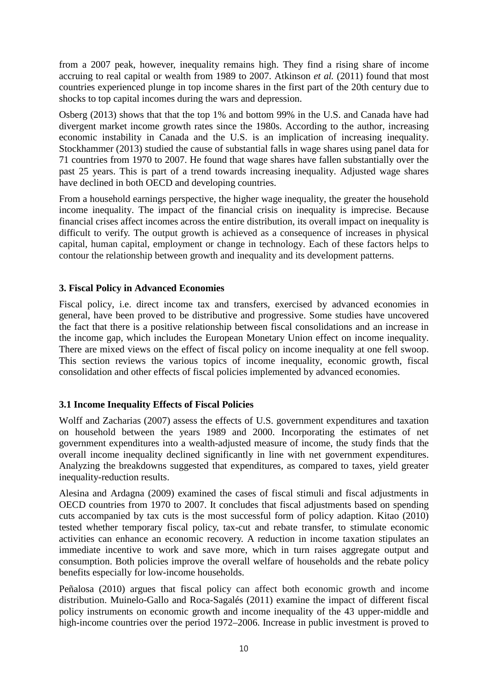from a 2007 peak, however, inequality remains high. They find a rising share of income accruing to real capital or wealth from 1989 to 2007. Atkinson *et al.* (2011) found that most countries experienced plunge in top income shares in the first part of the 20th century due to shocks to top capital incomes during the wars and depression.

Osberg (2013) shows that that the top 1% and bottom 99% in the U.S. and Canada have had divergent market income growth rates since the 1980s. According to the author, increasing economic instability in Canada and the U.S. is an implication of increasing inequality. Stockhammer (2013) studied the cause of substantial falls in wage shares using panel data for 71 countries from 1970 to 2007. He found that wage shares have fallen substantially over the past 25 years. This is part of a trend towards increasing inequality. Adjusted wage shares have declined in both OECD and developing countries.

From a household earnings perspective, the higher wage inequality, the greater the household income inequality. The impact of the financial crisis on inequality is imprecise. Because financial crises affect incomes across the entire distribution, its overall impact on inequality is difficult to verify. The output growth is achieved as a consequence of increases in physical capital, human capital, employment or change in technology. Each of these factors helps to contour the relationship between growth and inequality and its development patterns.

#### **3. Fiscal Policy in Advanced Economies**

Fiscal policy, i.e. direct income tax and transfers, exercised by advanced economies in general, have been proved to be distributive and progressive. Some studies have uncovered the fact that there is a positive relationship between fiscal consolidations and an increase in the income gap, which includes the European Monetary Union effect on income inequality. There are mixed views on the effect of fiscal policy on income inequality at one fell swoop. This section reviews the various topics of income inequality, economic growth, fiscal consolidation and other effects of fiscal policies implemented by advanced economies.

#### **3.1 Income Inequality Effects of Fiscal Policies**

Wolff and Zacharias (2007) assess the effects of U.S. government expenditures and taxation on household between the years 1989 and 2000. Incorporating the estimates of net government expenditures into a wealth-adjusted measure of income, the study finds that the overall income inequality declined significantly in line with net government expenditures. Analyzing the breakdowns suggested that expenditures, as compared to taxes, yield greater inequality-reduction results.

[Alesina and Ardagna \(2009\)](http://www.elgaronline.com/view/journals/roke/0-1/roke.2012.01.06.xml#ref-001) examined the cases of fiscal stimuli and fiscal adjustments in OECD countries from 1970 to 2007. It concludes that fiscal adjustments based on spending cuts accompanied by tax cuts is the most successful form of policy adaption. Kitao (2010) tested whether temporary fiscal policy, tax-cut and rebate transfer, to stimulate economic activities can enhance an economic recovery. A reduction in income taxation stipulates an immediate incentive to work and save more, which in turn raises aggregate output and consumption. Both policies improve the overall welfare of households and the rebate policy benefits especially for low-income households.

Peñalosa (2010) argues that fiscal policy can affect both economic growth and income distribution. Muinelo-Gallo and Roca-Sagalés (2011) examine the impact of different fiscal policy instruments on economic growth and income inequality of the 43 upper-middle and high-income countries over the period 1972–2006. Increase in public investment is proved to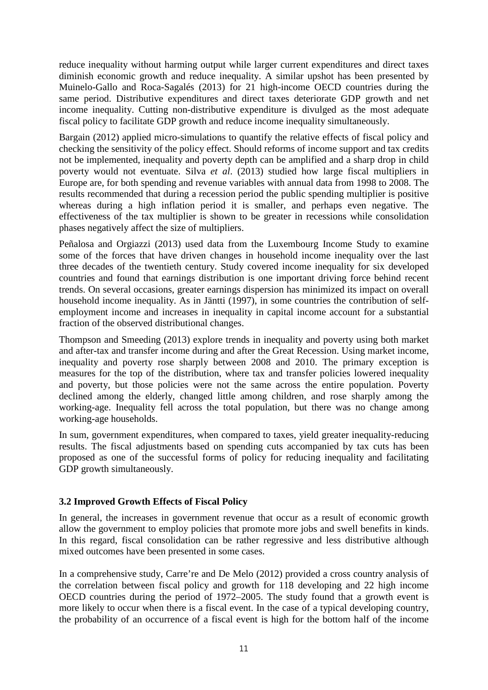reduce inequality without harming output while larger current expenditures and direct taxes diminish economic growth and reduce inequality. A similar upshot has been presented by Muinelo-Gallo and Roca-Sagalés (2013) for 21 high-income OECD countries during the same period. Distributive expenditures and direct taxes deteriorate GDP growth and net income inequality. Cutting non-distributive expenditure is divulged as the most adequate fiscal policy to facilitate GDP growth and reduce income inequality simultaneously.

Bargain (2012) applied micro-simulations to quantify the relative effects of fiscal policy and checking the sensitivity of the policy effect. Should reforms of income support and tax credits not be implemented, inequality and poverty depth can be amplified and a sharp drop in child poverty would not eventuate. Silva *et al*. (2013) studied how large fiscal multipliers in Europe are, for both spending and revenue variables with annual data from 1998 to 2008. The results recommended that during a recession period the public spending multiplier is positive whereas during a high inflation period it is smaller, and perhaps even negative. The effectiveness of the tax multiplier is shown to be greater in recessions while consolidation phases negatively affect the size of multipliers.

Peñalosa and Orgiazzi (2013) used data from the Luxembourg Income Study to examine some of the forces that have driven changes in household income inequality over the last three decades of the twentieth century. Study covered income inequality for six developed countries and found that earnings distribution is one important driving force behind recent trends. On several occasions, greater earnings dispersion has minimized its impact on overall household income inequality. As in Jäntti (1997), in some countries the contribution of selfemployment income and increases in inequality in capital income account for a substantial fraction of the observed distributional changes.

Thompson and Smeeding (2013) explore trends in inequality and poverty using both market and after-tax and transfer income during and after the Great Recession. Using market income, inequality and poverty rose sharply between 2008 and 2010. The primary exception is measures for the top of the distribution, where tax and transfer policies lowered inequality and poverty, but those policies were not the same across the entire population. Poverty declined among the elderly, changed little among children, and rose sharply among the working-age. Inequality fell across the total population, but there was no change among working-age households.

In sum, government expenditures, when compared to taxes, yield greater inequality-reducing results. The fiscal adjustments based on spending cuts accompanied by tax cuts has been proposed as one of the successful forms of policy for reducing inequality and facilitating GDP growth simultaneously.

#### **3.2 Improved Growth Effects of Fiscal Policy**

In general, the increases in government revenue that occur as a result of economic growth allow the government to employ policies that promote more jobs and swell benefits in kinds. In this regard, fiscal consolidation can be rather regressive and less distributive although mixed outcomes have been presented in some cases.

In a comprehensive study, Carre're and De Melo (2012) provided a cross country analysis of the correlation between fiscal policy and growth for 118 developing and 22 high income OECD countries during the period of 1972–2005. The study found that a growth event is more likely to occur when there is a fiscal event. In the case of a typical developing country, the probability of an occurrence of a fiscal event is high for the bottom half of the income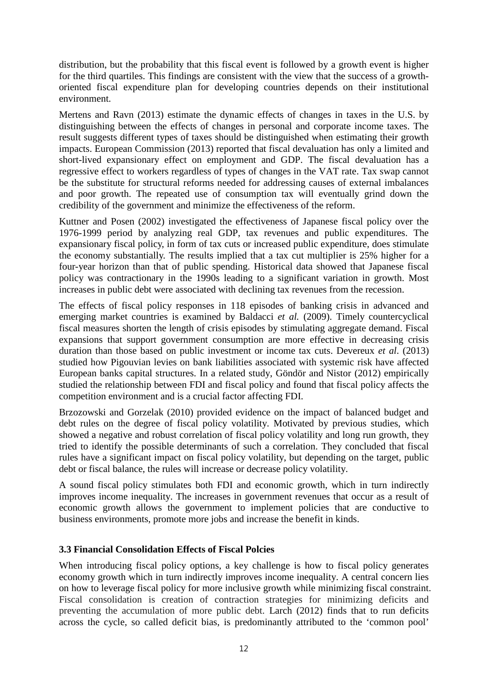distribution, but the probability that this fiscal event is followed by a growth event is higher for the third quartiles. This findings are consistent with the view that the success of a growthoriented fiscal expenditure plan for developing countries depends on their institutional environment.

Mertens and Ravn (2013) estimate the dynamic effects of changes in taxes in the U.S. by distinguishing between the effects of changes in personal and corporate income taxes. The result suggests different types of taxes should be distinguished when estimating their growth impacts. European Commission (2013) reported that fiscal devaluation has only a limited and short-lived expansionary effect on employment and GDP. The fiscal devaluation has a regressive effect to workers regardless of types of changes in the VAT rate. Tax swap cannot be the substitute for structural reforms needed for addressing causes of external imbalances and poor growth. The repeated use of consumption tax will eventually grind down the credibility of the government and minimize the effectiveness of the reform.

Kuttner and Posen (2002) investigated the effectiveness of Japanese fiscal policy over the 1976-1999 period by analyzing real GDP, tax revenues and public expenditures. The expansionary fiscal policy, in form of tax cuts or increased public expenditure, does stimulate the economy substantially. The results implied that a tax cut multiplier is 25% higher for a four-year horizon than that of public spending. Historical data showed that Japanese fiscal policy was contractionary in the 1990s leading to a significant variation in growth. Most increases in public debt were associated with declining tax revenues from the recession.

The effects of fiscal policy responses in 118 episodes of banking crisis in advanced and emerging market countries is examined by Baldacci *et al.* (2009). Timely countercyclical fiscal measures shorten the length of crisis episodes by stimulating aggregate demand. Fiscal expansions that support government consumption are more effective in decreasing crisis duration than those based on public investment or income tax cuts. Devereux *et al*. (2013) studied how Pigouvian levies on bank liabilities associated with systemic risk have affected European banks capital structures. In a related study, Göndör and Nistor (2012) empirically studied the relationship between FDI and fiscal policy and found that fiscal policy affects the competition environment and is a crucial factor affecting FDI.

Brzozowski and Gorzelak (2010) provided evidence on the impact of balanced budget and debt rules on the degree of fiscal policy volatility. Motivated by previous studies, which showed a negative and robust correlation of fiscal policy volatility and long run growth, they tried to identify the possible determinants of such a correlation. They concluded that fiscal rules have a significant impact on fiscal policy volatility, but depending on the target, public debt or fiscal balance, the rules will increase or decrease policy volatility.

A sound fiscal policy stimulates both FDI and economic growth, which in turn indirectly improves income inequality. The increases in government revenues that occur as a result of economic growth allows the government to implement policies that are conductive to business environments, promote more jobs and increase the benefit in kinds.

#### **3.3 Financial Consolidation Effects of Fiscal Polcies**

When introducing fiscal policy options, a key challenge is how to fiscal policy generates economy growth which in turn indirectly improves income inequality. A central concern lies on how to leverage fiscal policy for more inclusive growth while minimizing fiscal constraint. Fiscal consolidation is creation of contraction strategies for minimizing deficits and preventing the accumulation of more public debt. Larch (2012) finds that to run deficits across the cycle, so called deficit bias, is predominantly attributed to the 'common pool'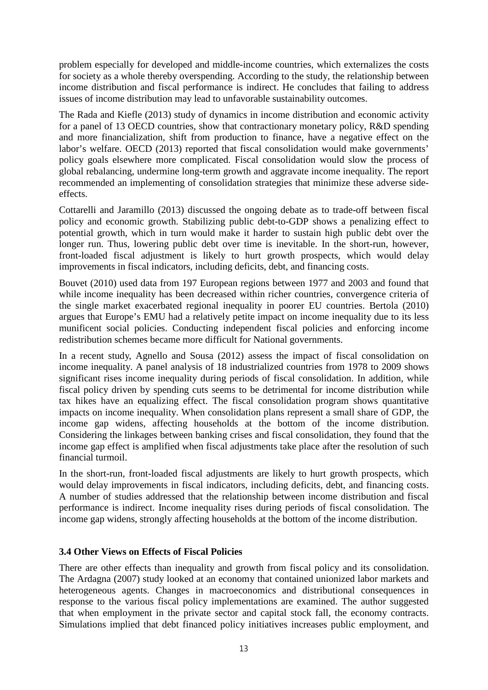problem especially for developed and middle-income countries, which externalizes the costs for society as a whole thereby overspending. According to the study, the relationship between income distribution and fiscal performance is indirect. He concludes that failing to address issues of income distribution may lead to unfavorable sustainability outcomes.

The Rada and Kiefle (2013) study of dynamics in income distribution and economic activity for a panel of 13 OECD countries, show that contractionary monetary policy, R&D spending and more financialization, shift from production to finance, have a negative effect on the labor's welfare. OECD (2013) reported that fiscal consolidation would make governments' policy goals elsewhere more complicated. Fiscal consolidation would slow the process of global rebalancing, undermine long-term growth and aggravate income inequality. The report recommended an implementing of consolidation strategies that minimize these adverse sideeffects.

Cottarelli and Jaramillo (2013) discussed the ongoing debate as to trade-off between fiscal policy and economic growth. Stabilizing public debt-to-GDP shows a penalizing effect to potential growth, which in turn would make it harder to sustain high public debt over the longer run. Thus, lowering public debt over time is inevitable. In the short-run, however, front-loaded fiscal adjustment is likely to hurt growth prospects, which would delay improvements in fiscal indicators, including deficits, debt, and financing costs.

Bouvet (2010) used data from 197 European regions between 1977 and 2003 and found that while income inequality has been decreased within richer countries, convergence criteria of the single market exacerbated regional inequality in poorer EU countries. Bertola (2010) argues that Europe's EMU had a relatively petite impact on income inequality due to its less munificent social policies. Conducting independent fiscal policies and enforcing income redistribution schemes became more difficult for National governments.

In a recent study, Agnello and Sousa (2012) assess the impact of fiscal consolidation on income inequality. A panel analysis of 18 industrialized countries from 1978 to 2009 shows significant rises income inequality during periods of fiscal consolidation. In addition, while fiscal policy driven by spending cuts seems to be detrimental for income distribution while tax hikes have an equalizing effect. The fiscal consolidation program shows quantitative impacts on income inequality. When consolidation plans represent a small share of GDP, the income gap widens, affecting households at the bottom of the income distribution. Considering the linkages between banking crises and fiscal consolidation, they found that the income gap effect is amplified when fiscal adjustments take place after the resolution of such financial turmoil.

In the short-run, front-loaded fiscal adjustments are likely to hurt growth prospects, which would delay improvements in fiscal indicators, including deficits, debt, and financing costs. A number of studies addressed that the relationship between income distribution and fiscal performance is indirect. Income inequality rises during periods of fiscal consolidation. The income gap widens, strongly affecting households at the bottom of the income distribution.

#### **3.4 Other Views on Effects of Fiscal Policies**

There are other effects than inequality and growth from fiscal policy and its consolidation. The Ardagna (2007) study looked at an economy that contained unionized labor markets and heterogeneous agents. Changes in macroeconomics and distributional consequences in response to the various fiscal policy implementations are examined. The author suggested that when employment in the private sector and capital stock fall, the economy contracts. Simulations implied that debt financed policy initiatives increases public employment, and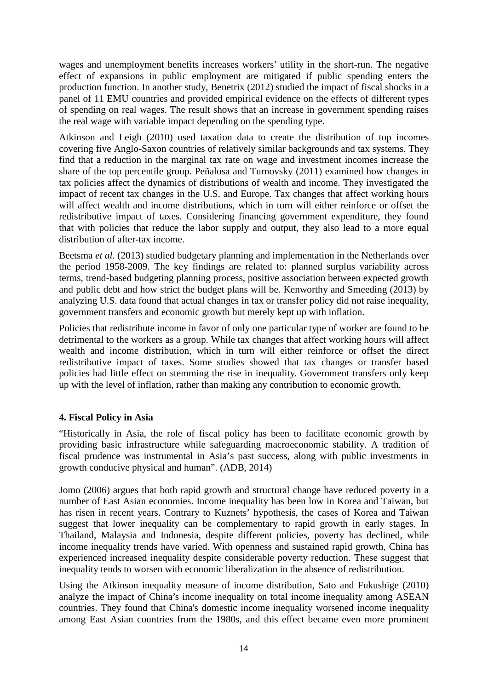wages and unemployment benefits increases workers' utility in the short-run. The negative effect of expansions in public employment are mitigated if public spending enters the production function. In another study, Benetrix (2012) studied the impact of fiscal shocks in a panel of 11 EMU countries and provided empirical evidence on the effects of different types of spending on real wages. The result shows that an increase in government spending raises the real wage with variable impact depending on the spending type.

Atkinson and Leigh (2010) used taxation data to create the distribution of top incomes covering five Anglo-Saxon countries of relatively similar backgrounds and tax systems. They find that a reduction in the marginal tax rate on wage and investment incomes increase the share of the top percentile group. Peñalosa and Turnovsky (2011) examined how changes in tax policies affect the dynamics of distributions of wealth and income. They investigated the impact of recent tax changes in the U.S. and Europe. Tax changes that affect working hours will affect wealth and income distributions, which in turn will either reinforce or offset the redistributive impact of taxes. Considering financing government expenditure, they found that with policies that reduce the labor supply and output, they also lead to a more equal distribution of after-tax income.

Beetsma *et al.* (2013) studied budgetary planning and implementation in the Netherlands over the period 1958-2009. The key findings are related to: planned surplus variability across terms, trend-based budgeting planning process, positive association between expected growth and public debt and how strict the budget plans will be. Kenworthy and Smeeding (2013) by analyzing U.S. data found that actual changes in tax or transfer policy did not raise inequality, government transfers and economic growth but merely kept up with inflation.

Policies that redistribute income in favor of only one particular type of worker are found to be detrimental to the workers as a group. While tax changes that affect working hours will affect wealth and income distribution, which in turn will either reinforce or offset the direct redistributive impact of taxes. Some studies showed that tax changes or transfer based policies had little effect on stemming the rise in inequality. Government transfers only keep up with the level of inflation, rather than making any contribution to economic growth.

#### **4. Fiscal Policy in Asia**

"Historically in Asia, the role of fiscal policy has been to facilitate economic growth by providing basic infrastructure while safeguarding macroeconomic stability. A tradition of fiscal prudence was instrumental in Asia's past success, along with public investments in growth conducive physical and human". (ADB, 2014)

Jomo (2006) argues that both rapid growth and structural change have reduced poverty in a number of East Asian economies. Income inequality has been low in Korea and Taiwan, but has risen in recent years. Contrary to Kuznets' hypothesis, the cases of Korea and Taiwan suggest that lower inequality can be complementary to rapid growth in early stages. In Thailand, Malaysia and Indonesia, despite different policies, poverty has declined, while income inequality trends have varied. With openness and sustained rapid growth, China has experienced increased inequality despite considerable poverty reduction. These suggest that inequality tends to worsen with economic liberalization in the absence of redistribution.

Using the Atkinson inequality measure of income distribution, Sato and Fukushige (2010) analyze the impact of China's income inequality on total income inequality among ASEAN countries. They found that China's domestic income inequality worsened income inequality among East Asian countries from the 1980s, and this effect became even more prominent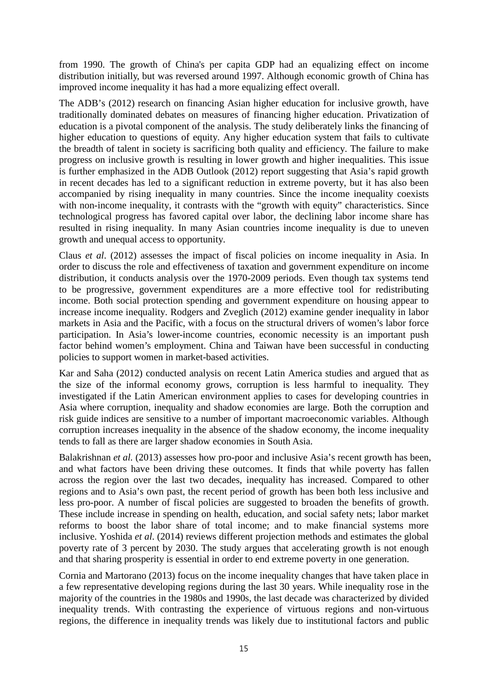from 1990. The growth of China's per capita GDP had an equalizing effect on income distribution initially, but was reversed around 1997. Although economic growth of China has improved income inequality it has had a more equalizing effect overall.

The ADB's (2012) research on financing Asian higher education for inclusive growth, have traditionally dominated debates on measures of financing higher education. Privatization of education is a pivotal component of the analysis. The study deliberately links the financing of higher education to questions of equity. Any higher education system that fails to cultivate the breadth of talent in society is sacrificing both quality and efficiency. The failure to make progress on inclusive growth is resulting in lower growth and higher inequalities. This issue is further emphasized in the ADB Outlook (2012) report suggesting that Asia's rapid growth in recent decades has led to a significant reduction in extreme poverty, but it has also been accompanied by rising inequality in many countries. Since the income inequality coexists with non-income inequality, it contrasts with the "growth with equity" characteristics. Since technological progress has favored capital over labor, the declining labor income share has resulted in rising inequality. In many Asian countries income inequality is due to uneven growth and unequal access to opportunity.

Claus *et al*. (2012) assesses the impact of fiscal policies on income inequality in Asia. In order to discuss the role and effectiveness of taxation and government expenditure on income distribution, it conducts analysis over the 1970-2009 periods. Even though tax systems tend to be progressive, government expenditures are a more effective tool for redistributing income. Both social protection spending and government expenditure on housing appear to increase income inequality. Rodgers and Zveglich (2012) examine gender inequality in labor markets in Asia and the Pacific, with a focus on the structural drivers of women's labor force participation. In Asia's lower-income countries, economic necessity is an important push factor behind women's employment. China and Taiwan have been successful in conducting policies to support women in market-based activities.

Kar and Saha (2012) conducted analysis on recent Latin America studies and argued that as the size of the informal economy grows, corruption is less harmful to inequality. They investigated if the Latin American environment applies to cases for developing countries in Asia where corruption, inequality and shadow economies are large. Both the corruption and risk guide indices are sensitive to a number of important macroeconomic variables. Although corruption increases inequality in the absence of the shadow economy, the income inequality tends to fall as there are larger shadow economies in South Asia.

Balakrishnan *et al.* (2013) assesses how pro-poor and inclusive Asia's recent growth has been, and what factors have been driving these outcomes. It finds that while poverty has fallen across the region over the last two decades, inequality has increased. Compared to other regions and to Asia's own past, the recent period of growth has been both less inclusive and less pro-poor. A number of fiscal policies are suggested to broaden the benefits of growth. These include increase in spending on health, education, and social safety nets; labor market reforms to boost the labor share of total income; and to make financial systems more inclusive. Yoshida *et al*. (2014) reviews different projection methods and estimates the global poverty rate of 3 percent by 2030. The study argues that accelerating growth is not enough and that sharing prosperity is essential in order to end extreme poverty in one generation.

Cornia and Martorano (2013) focus on the income inequality changes that have taken place in a few representative developing regions during the last 30 years. While inequality rose in the majority of the countries in the 1980s and 1990s, the last decade was characterized by divided inequality trends. With contrasting the experience of virtuous regions and non-virtuous regions, the difference in inequality trends was likely due to institutional factors and public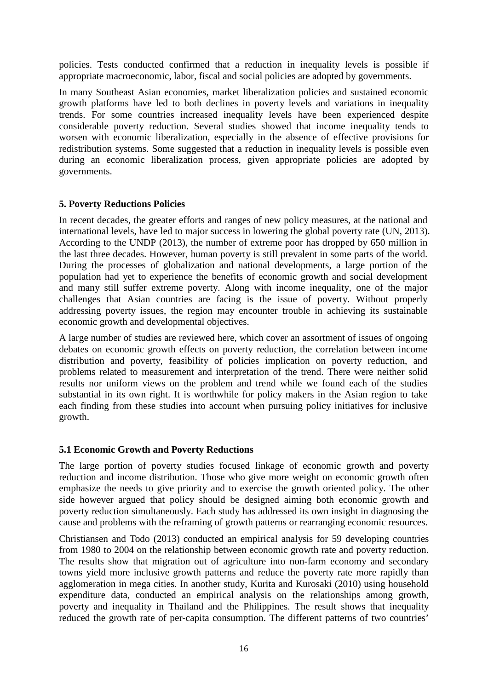policies. Tests conducted confirmed that a reduction in inequality levels is possible if appropriate macroeconomic, labor, fiscal and social policies are adopted by governments.

In many Southeast Asian economies, market liberalization policies and sustained economic growth platforms have led to both declines in poverty levels and variations in inequality trends. For some countries increased inequality levels have been experienced despite considerable poverty reduction. Several studies showed that income inequality tends to worsen with economic liberalization, especially in the absence of effective provisions for redistribution systems. Some suggested that a reduction in inequality levels is possible even during an economic liberalization process, given appropriate policies are adopted by governments.

#### **5. Poverty Reductions Policies**

In recent decades, the greater efforts and ranges of new policy measures, at the national and international levels, have led to major success in lowering the global poverty rate (UN, 2013). According to the UNDP (2013), the number of extreme poor has dropped by 650 million in the last three decades. However, human poverty is still prevalent in some parts of the world. During the processes of globalization and national developments, a large portion of the population had yet to experience the benefits of economic growth and social development and many still suffer extreme poverty. Along with income inequality, one of the major challenges that Asian countries are facing is the issue of poverty. Without properly addressing poverty issues, the region may encounter trouble in achieving its sustainable economic growth and developmental objectives.

A large number of studies are reviewed here, which cover an assortment of issues of ongoing debates on economic growth effects on poverty reduction, the correlation between income distribution and poverty, feasibility of policies implication on poverty reduction, and problems related to measurement and interpretation of the trend. There were neither solid results nor uniform views on the problem and trend while we found each of the studies substantial in its own right. It is worthwhile for policy makers in the Asian region to take each finding from these studies into account when pursuing policy initiatives for inclusive growth.

#### **5.1 Economic Growth and Poverty Reductions**

The large portion of poverty studies focused linkage of economic growth and poverty reduction and income distribution. Those who give more weight on economic growth often emphasize the needs to give priority and to exercise the growth oriented policy. The other side however argued that policy should be designed aiming both economic growth and poverty reduction simultaneously. Each study has addressed its own insight in diagnosing the cause and problems with the reframing of growth patterns or rearranging economic resources.

Christiansen and Todo (2013) conducted an empirical analysis for 59 developing countries from 1980 to 2004 on the relationship between economic growth rate and poverty reduction. The results show that migration out of agriculture into non-farm economy and secondary towns yield more inclusive growth patterns and reduce the poverty rate more rapidly than agglomeration in mega cities. In another study, Kurita and Kurosaki (2010) using household expenditure data, conducted an empirical analysis on the relationships among growth, poverty and inequality in Thailand and the Philippines. The result shows that inequality reduced the growth rate of per-capita consumption. The different patterns of two countries'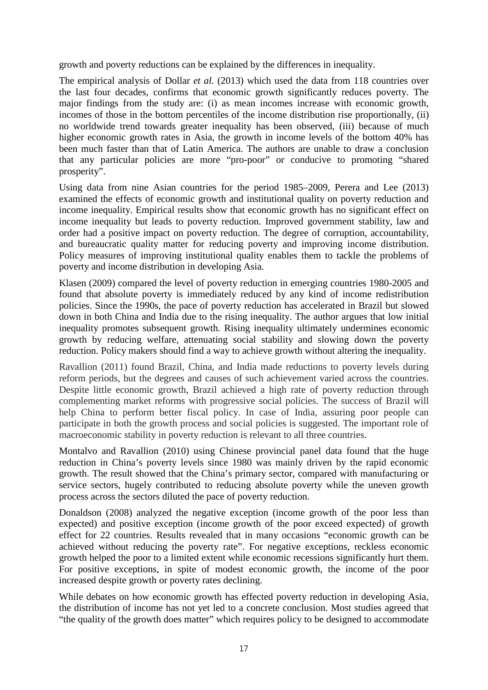growth and poverty reductions can be explained by the differences in inequality.

The empirical analysis of Dollar *et al.* (2013) which used the data from 118 countries over the last four decades, confirms that economic growth significantly reduces poverty. The major findings from the study are: (i) as mean incomes increase with economic growth, incomes of those in the bottom percentiles of the income distribution rise proportionally, (ii) no worldwide trend towards greater inequality has been observed, (iii) because of much higher economic growth rates in Asia, the growth in income levels of the bottom 40% has been much faster than that of Latin America. The authors are unable to draw a conclusion that any particular policies are more "pro-poor" or conducive to promoting "shared prosperity".

Using data from nine Asian countries for the period 1985–2009, Perera and Lee (2013) examined the effects of economic growth and institutional quality on poverty reduction and income inequality. Empirical results show that economic growth has no significant effect on income inequality but leads to poverty reduction. Improved government stability, law and order had a positive impact on poverty reduction. The degree of corruption, accountability, and bureaucratic quality matter for reducing poverty and improving income distribution. Policy measures of improving institutional quality enables them to tackle the problems of poverty and income distribution in developing Asia.

Klasen (2009) compared the level of poverty reduction in emerging countries 1980-2005 and found that absolute poverty is immediately reduced by any kind of income redistribution policies. Since the 1990s, the pace of poverty reduction has accelerated in Brazil but slowed down in both China and India due to the rising inequality. The author argues that low initial inequality promotes subsequent growth. Rising inequality ultimately undermines economic growth by reducing welfare, attenuating social stability and slowing down the poverty reduction. Policy makers should find a way to achieve growth without altering the inequality.

Ravallion (2011) found Brazil, China, and India made reductions to poverty levels during reform periods, but the degrees and causes of such achievement varied across the countries. Despite little economic growth, Brazil achieved a high rate of poverty reduction through complementing market reforms with progressive social policies. The success of Brazil will help China to perform better fiscal policy. In case of India, assuring poor people can participate in both the growth process and social policies is suggested. The important role of macroeconomic stability in poverty reduction is relevant to all three countries.

Montalvo and Ravallion (2010) using Chinese provincial panel data found that the huge reduction in China's poverty levels since 1980 was mainly driven by the rapid economic growth. The result showed that the China's primary sector, compared with manufacturing or service sectors, hugely contributed to reducing absolute poverty while the uneven growth process across the sectors diluted the pace of poverty reduction.

Donaldson (2008) analyzed the negative exception (income growth of the poor less than expected) and positive exception (income growth of the poor exceed expected) of growth effect for 22 countries. Results revealed that in many occasions "economic growth can be achieved without reducing the poverty rate". For negative exceptions, reckless economic growth helped the poor to a limited extent while economic recessions significantly hurt them. For positive exceptions, in spite of modest economic growth, the income of the poor increased despite growth or poverty rates declining.

While debates on how economic growth has effected poverty reduction in developing Asia. the distribution of income has not yet led to a concrete conclusion. Most studies agreed that "the quality of the growth does matter" which requires policy to be designed to accommodate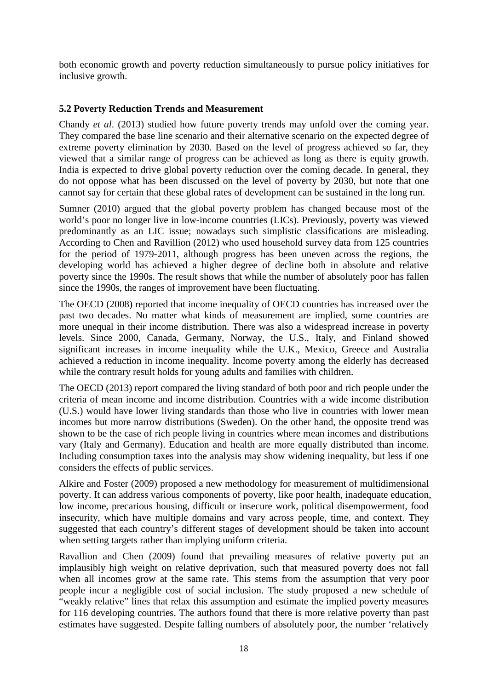both economic growth and poverty reduction simultaneously to pursue policy initiatives for inclusive growth.

#### **5.2 Poverty Reduction Trends and Measurement**

Chandy *et al*. (2013) studied how future poverty trends may unfold over the coming year. They compared the base line scenario and their alternative scenario on the expected degree of extreme poverty elimination by 2030. Based on the level of progress achieved so far, they viewed that a similar range of progress can be achieved as long as there is equity growth. India is expected to drive global poverty reduction over the coming decade. In general, they do not oppose what has been discussed on the level of poverty by 2030, but note that one cannot say for certain that these global rates of development can be sustained in the long run.

Sumner (2010) argued that the global poverty problem has changed because most of the world's poor no longer live in low-income countries (LICs). Previously, poverty was viewed predominantly as an LIC issue; nowadays such simplistic classifications are misleading. According to Chen and Ravillion (2012) who used household survey data from 125 countries for the period of 1979-2011, although progress has been uneven across the regions, the developing world has achieved a higher degree of decline both in absolute and relative poverty since the 1990s. The result shows that while the number of absolutely poor has fallen since the 1990s, the ranges of improvement have been fluctuating.

The OECD (2008) reported that income inequality of OECD countries has increased over the past two decades. No matter what kinds of measurement are implied, some countries are more unequal in their income distribution. There was also a widespread increase in poverty levels. Since 2000, Canada, Germany, Norway, the U.S., Italy, and Finland showed significant increases in income inequality while the U.K., Mexico, Greece and Australia achieved a reduction in income inequality. Income poverty among the elderly has decreased while the contrary result holds for young adults and families with children.

The OECD (2013) report compared the living standard of both poor and rich people under the criteria of mean income and income distribution. Countries with a wide income distribution (U.S.) would have lower living standards than those who live in countries with lower mean incomes but more narrow distributions (Sweden). On the other hand, the opposite trend was shown to be the case of rich people living in countries where mean incomes and distributions vary (Italy and Germany). Education and health are more equally distributed than income. Including consumption taxes into the analysis may show widening inequality, but less if one considers the effects of public services.

Alkire and Foster (2009) proposed a new methodology for measurement of multidimensional poverty. It can address various components of poverty, like poor health, inadequate education, low income, precarious housing, difficult or insecure work, political disempowerment, food insecurity, which have multiple domains and vary across people, time, and context. They suggested that each country's different stages of development should be taken into account when setting targets rather than implying uniform criteria.

Ravallion and Chen (2009) found that prevailing measures of relative poverty put an implausibly high weight on relative deprivation, such that measured poverty does not fall when all incomes grow at the same rate. This stems from the assumption that very poor people incur a negligible cost of social inclusion. The study proposed a new schedule of "weakly relative" lines that relax this assumption and estimate the implied poverty measures for 116 developing countries. The authors found that there is more relative poverty than past estimates have suggested. Despite falling numbers of absolutely poor, the number 'relatively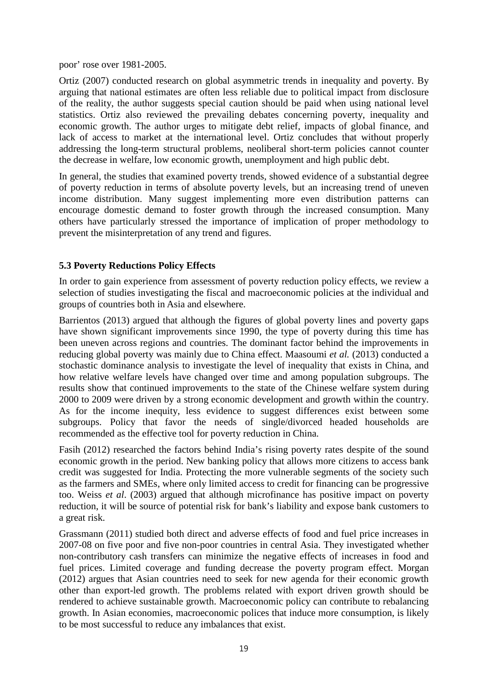poor' rose over 1981-2005.

Ortiz (2007) conducted research on global asymmetric trends in inequality and poverty. By arguing that national estimates are often less reliable due to political impact from disclosure of the reality, the author suggests special caution should be paid when using national level statistics. Ortiz also reviewed the prevailing debates concerning poverty, inequality and economic growth. The author urges to mitigate debt relief, impacts of global finance, and lack of access to market at the international level. Ortiz concludes that without properly addressing the long-term structural problems, neoliberal short-term policies cannot counter the decrease in welfare, low economic growth, unemployment and high public debt.

In general, the studies that examined poverty trends, showed evidence of a substantial degree of poverty reduction in terms of absolute poverty levels, but an increasing trend of uneven income distribution. Many suggest implementing more even distribution patterns can encourage domestic demand to foster growth through the increased consumption. Many others have particularly stressed the importance of implication of proper methodology to prevent the misinterpretation of any trend and figures.

## **5.3 Poverty Reductions Policy Effects**

In order to gain experience from assessment of poverty reduction policy effects, we review a selection of studies investigating the fiscal and macroeconomic policies at the individual and groups of countries both in Asia and elsewhere.

Barrientos (2013) argued that although the figures of global poverty lines and poverty gaps have shown significant improvements since 1990, the type of poverty during this time has been uneven across regions and countries. The dominant factor behind the improvements in reducing global poverty was mainly due to China effect. Maasoumi *et al.* (2013) conducted a stochastic dominance analysis to investigate the level of inequality that exists in China, and how relative welfare levels have changed over time and among population subgroups. The results show that continued improvements to the state of the Chinese welfare system during 2000 to 2009 were driven by a strong economic development and growth within the country. As for the income inequity, less evidence to suggest differences exist between some subgroups. Policy that favor the needs of single/divorced headed households are recommended as the effective tool for poverty reduction in China.

Fasih (2012) researched the factors behind India's rising poverty rates despite of the sound economic growth in the period. New banking policy that allows more citizens to access bank credit was suggested for India. Protecting the more vulnerable segments of the society such as the farmers and SMEs, where only limited access to credit for financing can be progressive too. Weiss *et al*. (2003) argued that although microfinance has positive impact on poverty reduction, it will be source of potential risk for bank's liability and expose bank customers to a great risk.

Grassmann (2011) studied both direct and adverse effects of food and fuel price increases in 2007-08 on five poor and five non-poor countries in central Asia. They investigated whether non-contributory cash transfers can minimize the negative effects of increases in food and fuel prices. Limited coverage and funding decrease the poverty program effect. Morgan (2012) argues that Asian countries need to seek for new agenda for their economic growth other than export-led growth. The problems related with export driven growth should be rendered to achieve sustainable growth. Macroeconomic policy can contribute to rebalancing growth. In Asian economies, macroeconomic polices that induce more consumption, is likely to be most successful to reduce any imbalances that exist.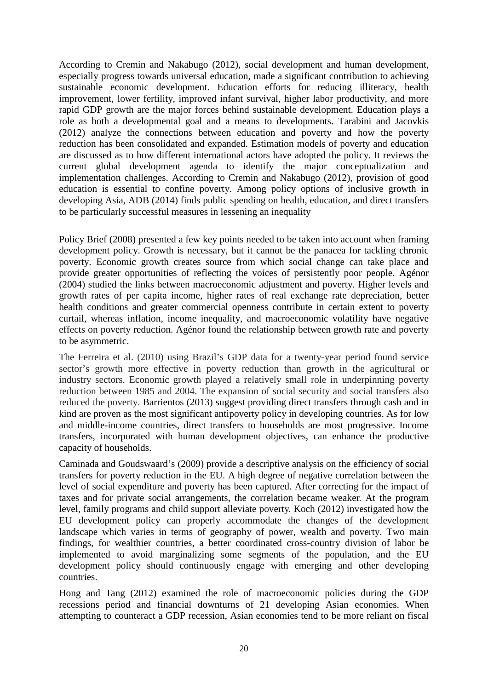According to Cremin and Nakabugo (2012), social development and human development, especially progress towards universal education, made a significant contribution to achieving sustainable economic development. Education efforts for reducing illiteracy, health improvement, lower fertility, improved infant survival, higher labor productivity, and more rapid GDP growth are the major forces behind sustainable development. Education plays a role as both a developmental goal and a means to developments. Tarabini and Jacovkis (2012) analyze the connections between education and poverty and how the poverty reduction has been consolidated and expanded. Estimation models of poverty and education are discussed as to how different international actors have adopted the policy. It reviews the current global development agenda to identify the major conceptualization and implementation challenges. According to Cremin and Nakabugo (2012), provision of good education is essential to confine poverty. Among policy options of inclusive growth in developing Asia, ADB (2014) finds public spending on health, education, and direct transfers to be particularly successful measures in lessening an inequality

Policy Brief (2008) presented a few key points needed to be taken into account when framing development policy. Growth is necessary, but it cannot be the panacea for tackling chronic poverty. Economic growth creates source from which social change can take place and provide greater opportunities of reflecting the voices of persistently poor people. Agénor (2004) studied the links between macroeconomic adjustment and poverty. Higher levels and growth rates of per capita income, higher rates of real exchange rate depreciation, better health conditions and greater commercial openness contribute in certain extent to poverty curtail, whereas inflation, income inequality, and macroeconomic volatility have negative effects on poverty reduction. Agénor found the relationship between growth rate and poverty to be asymmetric.

The Ferreira et al. (2010) using Brazil's GDP data for a twenty-year period found service sector's growth more effective in poverty reduction than growth in the agricultural or industry sectors. Economic growth played a relatively small role in underpinning poverty reduction between 1985 and 2004. The expansion of social security and social transfers also reduced the poverty. Barrientos (2013) suggest providing direct transfers through cash and in kind are proven as the most significant antipoverty policy in developing countries. As for low and middle-income countries, direct transfers to households are most progressive. Income transfers, incorporated with human development objectives, can enhance the productive capacity of households.

Caminada and Goudswaard's (2009) provide a descriptive analysis on the efficiency of social transfers for poverty reduction in the EU. A high degree of negative correlation between the level of social expenditure and poverty has been captured. After correcting for the impact of taxes and for private social arrangements, the correlation became weaker. At the program level, family programs and child support alleviate poverty. Koch (2012) investigated how the EU development policy can properly accommodate the changes of the development landscape which varies in terms of geography of power, wealth and poverty. Two main findings, for wealthier countries, a better coordinated cross-country division of labor be implemented to avoid marginalizing some segments of the population, and the EU development policy should continuously engage with emerging and other developing countries.

Hong and Tang (2012) examined the role of macroeconomic policies during the GDP recessions period and financial downturns of 21 developing Asian economies. When attempting to counteract a GDP recession, Asian economies tend to be more reliant on fiscal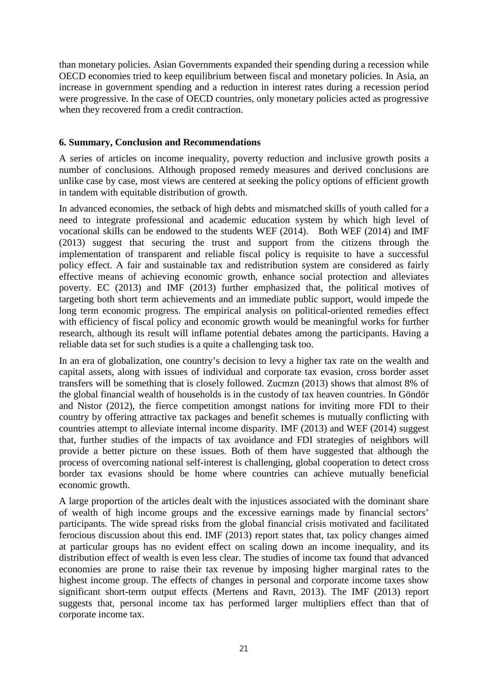than monetary policies. Asian Governments expanded their spending during a recession while OECD economies tried to keep equilibrium between fiscal and monetary policies. In Asia, an increase in government spending and a reduction in interest rates during a recession period were progressive. In the case of OECD countries, only monetary policies acted as progressive when they recovered from a credit contraction.

#### **6. Summary, Conclusion and Recommendations**

A series of articles on income inequality, poverty reduction and inclusive growth posits a number of conclusions. Although proposed remedy measures and derived conclusions are unlike case by case, most views are centered at seeking the policy options of efficient growth in tandem with equitable distribution of growth.

In advanced economies, the setback of high debts and mismatched skills of youth called for a need to integrate professional and academic education system by which high level of vocational skills can be endowed to the students WEF (2014). Both WEF (2014) and IMF (2013) suggest that securing the trust and support from the citizens through the implementation of transparent and reliable fiscal policy is requisite to have a successful policy effect. A fair and sustainable tax and redistribution system are considered as fairly effective means of achieving economic growth, enhance social protection and alleviates poverty. EC (2013) and IMF (2013) further emphasized that, the political motives of targeting both short term achievements and an immediate public support, would impede the long term economic progress. The empirical analysis on political-oriented remedies effect with efficiency of fiscal policy and economic growth would be meaningful works for further research, although its result will inflame potential debates among the participants. Having a reliable data set for such studies is a quite a challenging task too.

In an era of globalization, one country's decision to levy a higher tax rate on the wealth and capital assets, along with issues of individual and corporate tax evasion, cross border asset transfers will be something that is closely followed. Zucmzn (2013) shows that almost 8% of the global financial wealth of households is in the custody of tax heaven countries. In Göndör and Nistor (2012), the fierce competition amongst nations for inviting more FDI to their country by offering attractive tax packages and benefit schemes is mutually conflicting with countries attempt to alleviate internal income disparity. IMF (2013) and WEF (2014) suggest that, further studies of the impacts of tax avoidance and FDI strategies of neighbors will provide a better picture on these issues. Both of them have suggested that although the process of overcoming national self-interest is challenging, global cooperation to detect cross border tax evasions should be home where countries can achieve mutually beneficial economic growth.

A large proportion of the articles dealt with the injustices associated with the dominant share of wealth of high income groups and the excessive earnings made by financial sectors' participants. The wide spread risks from the global financial crisis motivated and facilitated ferocious discussion about this end. IMF (2013) report states that, tax policy changes aimed at particular groups has no evident effect on scaling down an income inequality, and its distribution effect of wealth is even less clear. The studies of income tax found that advanced economies are prone to raise their tax revenue by imposing higher marginal rates to the highest income group. The effects of changes in personal and corporate income taxes show significant short-term output effects (Mertens and Ravn, 2013). The IMF (2013) report suggests that, personal income tax has performed larger multipliers effect than that of corporate income tax.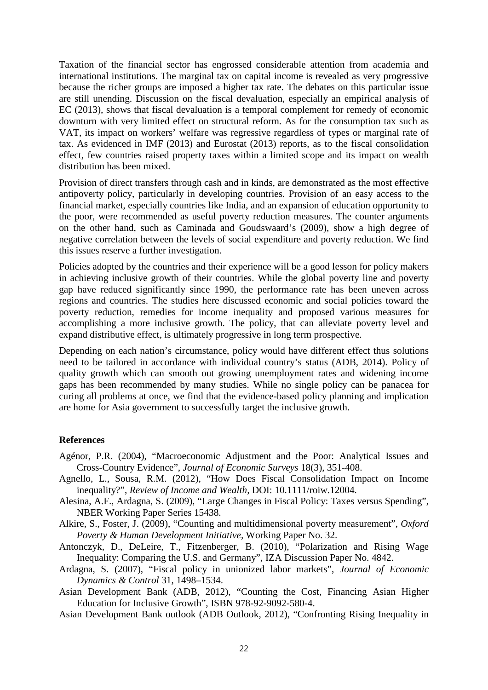Taxation of the financial sector has engrossed considerable attention from academia and international institutions. The marginal tax on capital income is revealed as very progressive because the richer groups are imposed a higher tax rate. The debates on this particular issue are still unending. Discussion on the fiscal devaluation, especially an empirical analysis of EC (2013), shows that fiscal devaluation is a temporal complement for remedy of economic downturn with very limited effect on structural reform. As for the consumption tax such as VAT, its impact on workers' welfare was regressive regardless of types or marginal rate of tax. As evidenced in IMF (2013) and Eurostat (2013) reports, as to the fiscal consolidation effect, few countries raised property taxes within a limited scope and its impact on wealth distribution has been mixed.

Provision of direct transfers through cash and in kinds, are demonstrated as the most effective antipoverty policy, particularly in developing countries. Provision of an easy access to the financial market, especially countries like India, and an expansion of education opportunity to the poor, were recommended as useful poverty reduction measures. The counter arguments on the other hand, such as Caminada and Goudswaard's (2009), show a high degree of negative correlation between the levels of social expenditure and poverty reduction. We find this issues reserve a further investigation.

Policies adopted by the countries and their experience will be a good lesson for policy makers in achieving inclusive growth of their countries. While the global poverty line and poverty gap have reduced significantly since 1990, the performance rate has been uneven across regions and countries. The studies here discussed economic and social policies toward the poverty reduction, remedies for income inequality and proposed various measures for accomplishing a more inclusive growth. The policy, that can alleviate poverty level and expand distributive effect, is ultimately progressive in long term prospective.

Depending on each nation's circumstance, policy would have different effect thus solutions need to be tailored in accordance with individual country's status (ADB, 2014). Policy of quality growth which can smooth out growing unemployment rates and widening income gaps has been recommended by many studies. While no single policy can be panacea for curing all problems at once, we find that the evidence-based policy planning and implication are home for Asia government to successfully target the inclusive growth.

#### **References**

- Agénor, P.R. (2004), "Macroeconomic Adjustment and the Poor: Analytical Issues and Cross-Country Evidence", *Journal of Economic Surveys* 18(3), 351-408.
- Agnello, L., Sousa, R.M. (2012), "How Does Fiscal Consolidation Impact on Income inequality?", *Review of Income and Wealth,* DOI: 10.1111/roiw.12004.
- Alesina, A.F., Ardagna, S. (2009), "Large Changes in Fiscal Policy: Taxes versus Spending", NBER Working Paper Series 15438.
- Alkire, S., Foster, J. (2009), "Counting and multidimensional poverty measurement", *Oxford Poverty & Human Development Initiative,* Working Paper No. 32.
- Antonczyk, D., DeLeire, T., Fitzenberger, B. (2010), "Polarization and Rising Wage Inequality: Comparing the U.S. and Germany", IZA Discussion Paper No. 4842.
- Ardagna, S. (2007), "Fiscal policy in unionized labor markets", *Journal of Economic Dynamics & Control* 31, 1498–1534.
- Asian Development Bank (ADB, 2012), "Counting the Cost, Financing Asian Higher Education for Inclusive Growth", ISBN 978-92-9092-580-4.
- Asian Development Bank outlook (ADB Outlook, 2012), "Confronting Rising Inequality in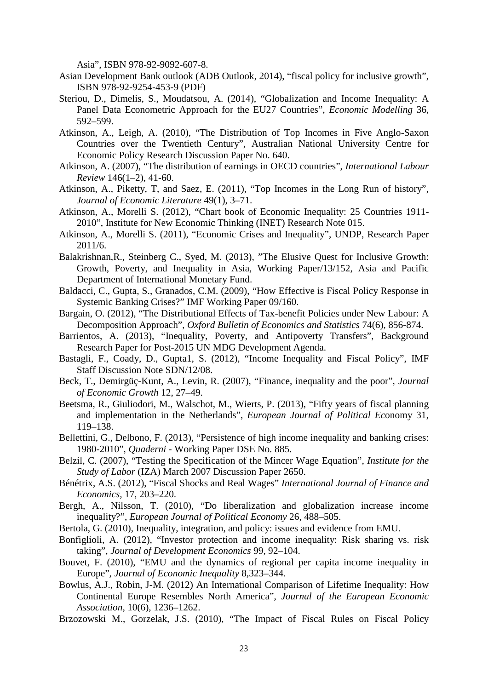Asia", ISBN 978-92-9092-607-8.

- Asian Development Bank outlook (ADB Outlook, 2014), "fiscal policy for inclusive growth", ISBN 978-92-9254-453-9 (PDF)
- Steriou, D., Dimelis, S., Moudatsou, A. (2014), "Globalization and Income Inequality: A Panel Data Econometric Approach for the EU27 Countries", *Economic Modelling* 36, 592–599.
- Atkinson, A., Leigh, A. (2010), "The Distribution of Top Incomes in Five Anglo-Saxon Countries over the Twentieth Century", Australian National University Centre for Economic Policy Research Discussion Paper No. 640.
- Atkinson, A. (2007), "The distribution of earnings in OECD countries", *International Labour Review* 146(1–2), 41-60.
- Atkinson, A., Piketty, T, and Saez, E. (2011), "Top Incomes in the Long Run of history", *Journal of Economic Literature* 49(1), 3–71.
- Atkinson, A., Morelli S. (2012), "Chart book of Economic Inequality: 25 Countries 1911- 2010", Institute for New Economic Thinking (INET) Research Note 015.
- Atkinson, A., Morelli S. (2011), "Economic Crises and Inequality", UNDP, Research Paper 2011/6.
- Balakrishnan,R., Steinberg C., Syed, M. (2013), "The Elusive Quest for Inclusive Growth: Growth, Poverty, and Inequality in Asia, Working Paper/13/152, Asia and Pacific Department of International Monetary Fund.
- Baldacci, C., Gupta, S., Granados, C.M. (2009), "How Effective is Fiscal Policy Response in Systemic Banking Crises?" IMF Working Paper 09/160.
- Bargain, O. (2012), "The Distributional Effects of Tax-benefit Policies under New Labour: A Decomposition Approach", *Oxford Bulletin of Economics and Statistics* 74(6), 856-874.
- Barrientos, A. (2013), "Inequality, Poverty, and Antipoverty Transfers", Background Research Paper for Post-2015 UN MDG Development Agenda.
- Bastagli, F., Coady, D., Gupta1, S. (2012), "Income Inequality and Fiscal Policy", IMF Staff Discussion Note SDN/12/08.
- Beck, T., Demirgüç-Kunt, A., Levin, R. (2007), "Finance, inequality and the poor", *Journal of Economic Growth* 12, 27–49.
- Beetsma, R., Giuliodori, M., Walschot, M., Wierts, P. (2013), "Fifty years of fiscal planning and implementation in the Netherlands", *European Journal of Political Ec*onomy 31, 119–138.
- Bellettini, G., Delbono, F. (2013), "Persistence of high income inequality and banking crises: 1980-2010", *Quaderni -* Working Paper DSE No. 885.
- Belzil, C. (2007), "Testing the Specification of the Mincer Wage Equation", *Institute for the Study of Labor* (IZA) March 2007 Discussion Paper 2650.
- Bénétrix, A.S. (2012), "Fiscal Shocks and Real Wages" *International Journal of Finance and Economics,* 17, 203–220.
- Bergh, A., Nilsson, T. (2010), "Do liberalization and globalization increase income inequality?", *European Journal of Political Economy* 26, 488–505.
- Bertola, G. (2010), Inequality, integration, and policy: issues and evidence from EMU.
- Bonfiglioli, A. (2012), "Investor protection and income inequality: Risk sharing vs. risk taking", *Journal of Development Economics* 99, 92–104.
- Bouvet, F. (2010), "EMU and the dynamics of regional per capita income inequality in Europe"*, Journal of Economic Inequality* 8,323–344.
- Bowlus, A.J., Robin, J-M. (2012) An International Comparison of Lifetime Inequality: How Continental Europe Resembles North America", *Journal of the European Economic Association,* 10(6), 1236–1262.
- Brzozowski M., Gorzelak, J.S. (2010), "The Impact of Fiscal Rules on Fiscal Policy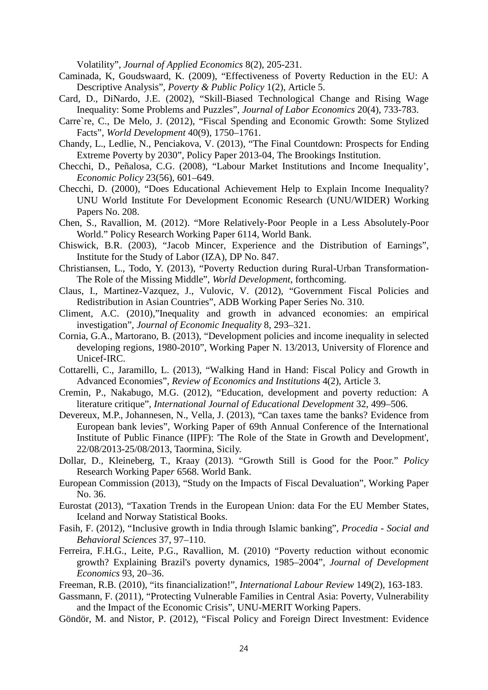Volatility", *Journal of Applied Economics* 8(2), 205-231.

- Caminada, K, Goudswaard, K. (2009), "Effectiveness of Poverty Reduction in the EU: A Descriptive Analysis", *Poverty & Public Policy* 1(2), Article 5.
- Card, D., DiNardo, J.E. (2002), "Skill-Biased Technological Change and Rising Wage Inequality: Some Problems and Puzzles", *Journal of Labor Economics* 20(4), 733-783.
- Carre`re, C., De Melo, J. (2012), "Fiscal Spending and Economic Growth: Some Stylized Facts", *World Development* 40(9), 1750–1761.
- Chandy, L., Ledlie, N., Penciakova, V. (2013), "The Final Countdown: Prospects for Ending Extreme Poverty by 2030", Policy Paper 2013-04, The Brookings Institution.
- Checchi, D., Peñalosa, C.G. (2008), "Labour Market Institutions and Income Inequality', *Economic Policy* 23(56), 601–649.
- Checchi, D. (2000), "Does Educational Achievement Help to Explain Income Inequality? UNU World Institute For Development Economic Research (UNU/WIDER) Working Papers No. 208.
- Chen, S., Ravallion, M. (2012). "More Relatively-Poor People in a Less Absolutely-Poor World." Policy Research Working Paper 6114, World Bank.
- Chiswick, B.R. (2003), "Jacob Mincer, Experience and the Distribution of Earnings", Institute for the Study of Labor (IZA), DP No. 847.
- Christiansen, L., Todo, Y. (2013), "Poverty Reduction during Rural-Urban Transformation-The Role of the Missing Middle", *World Development*, forthcoming.
- Claus, I., Martinez-Vazquez, J., Vulovic, V. (2012), "Government Fiscal Policies and Redistribution in Asian Countries", ADB Working Paper Series No. 310.
- Climent, A.C. (2010),"Inequality and growth in advanced economies: an empirical investigation", *Journal of Economic Inequality* 8, 293–321.
- Cornia, G.A., Martorano, B. (2013), "Development policies and income inequality in selected developing regions, 1980-2010", Working Paper N. 13/2013, University of Florence and Unicef-IRC.
- Cottarelli, C., Jaramillo, L. (2013), "Walking Hand in Hand: Fiscal Policy and Growth in Advanced Economies", *Review of Economics and Institutions* 4(2), Article 3.
- Cremin, P., Nakabugo, M.G. (2012), "Education, development and poverty reduction: A literature critique", *International Journal of Educational Development* 32, 499–506.
- Devereux, M.P., Johannesen, N., Vella, J. (2013), "Can taxes tame the banks? Evidence from European bank levies", Working Paper of 69th Annual Conference of the International Institute of Public Finance (IIPF): 'The Role of the State in Growth and Development', 22/08/2013-25/08/2013, Taormina, Sicily.
- Dollar, D., Kleineberg, T., Kraay (2013). "Growth Still is Good for the Poor." *Policy*  Research Working Pape*r* 6568. World Bank.
- European Commission (2013), "Study on the Impacts of Fiscal Devaluation", Working Paper No. 36.
- Eurostat (2013), "Taxation Trends in the European Union: data For the EU Member States, Iceland and Norway Statistical Books.
- Fasih, F. (2012), "Inclusive growth in India through Islamic banking", *Procedia - Social and Behavioral Sciences* 37, 97–110.
- Ferreira, F.H.G., Leite, P.G., Ravallion, M. (2010) "Poverty reduction without economic growth? Explaining Brazil's poverty dynamics, 1985–2004", *Journal of Development Economics* 93, 20–36.
- Freeman, R.B. (2010), "its financialization!", *International Labour Review* 149(2), 163-183.
- Gassmann, F. (2011), "Protecting Vulnerable Families in Central Asia: Poverty, Vulnerability and the Impact of the Economic Crisis", UNU-MERIT Working Papers.
- Göndör, M. and Nistor, P. (2012), "Fiscal Policy and Foreign Direct Investment: Evidence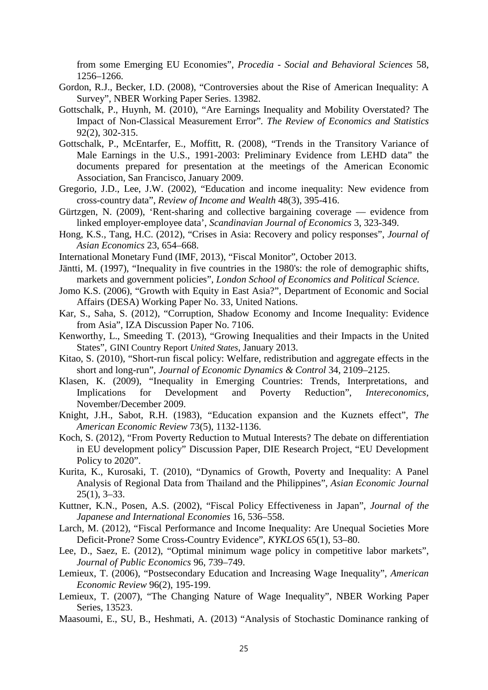from some Emerging EU Economies", *Procedia - Social and Behavioral Sciences* 58, 1256–1266.

- Gordon, R.J., Becker, I.D. (2008), "Controversies about the Rise of American Inequality: A Survey", NBER Working Paper Series. 13982.
- Gottschalk, P., Huynh, M. (2010), "Are Earnings Inequality and Mobility Overstated? The Impact of Non-Classical Measurement Error"*. The Review of Economics and Statistics* 92(2), 302-315.
- Gottschalk, P., McEntarfer, E., Moffitt, R. (2008), "Trends in the Transitory Variance of Male Earnings in the U.S., 1991-2003: Preliminary Evidence from LEHD data" the documents prepared for presentation at the meetings of the American Economic Association, San Francisco, January 2009.
- Gregorio, J.D., Lee, J.W. (2002), "Education and income inequality: New evidence from cross-country data", *Review of Income and Wealth* 48(3), 395-416.
- Gürtzgen, N. (2009), 'Rent-sharing and collective bargaining coverage evidence from linked employer-employee data', *Scandinavian Journal of Economics* 3, 323-349.
- Hong, K.S., Tang, H.C. (2012), "Crises in Asia: Recovery and policy responses", *Journal of Asian Economics* 23, 654–668.
- International Monetary Fund (IMF, 2013), "Fiscal Monitor", October 2013.
- Jäntti, M. (1997), "Inequality in five countries in the 1980's: the role of demographic shifts, markets and government policies", *London School of Economics and Political Science.*
- Jomo K.S. (2006), "Growth with Equity in East Asia?", Department of Economic and Social Affairs (DESA) Working Paper No. 33, United Nations.
- Kar, S., Saha, S. (2012), "Corruption, Shadow Economy and Income Inequality: Evidence from Asia", IZA Discussion Paper No. 7106.
- Kenworthy, L., Smeeding T. (2013), "Growing Inequalities and their Impacts in the United States", GINI Country Report *United States*, January 2013.
- Kitao, S. (2010), "Short-run fiscal policy: Welfare, redistribution and aggregate effects in the short and long-run", *Journal of Economic Dynamics & Control* 34, 2109–2125.
- Klasen, K. (2009), "Inequality in Emerging Countries: Trends, Interpretations, and Implications for Development and Poverty Reduction", *Intereconomics,* November/December 2009.
- Knight, J.H., Sabot, R.H. (1983), "Education expansion and the Kuznets effect", *The American Economic Review* 73(5), 1132-1136.
- Koch, S. (2012), "From Poverty Reduction to Mutual Interests? The debate on differentiation in EU development policy" Discussion Paper, DIE Research Project, "EU Development Policy to 2020".
- Kurita, K., Kurosaki, T. (2010), "Dynamics of Growth, Poverty and Inequality: A Panel Analysis of Regional Data from Thailand and the Philippines", *Asian Economic Journal*  25(1), 3–33.
- Kuttner, K.N., Posen, A.S. (2002), "Fiscal Policy Effectiveness in Japan", *Journal of the Japanese and International Economies* 16, 536–558.
- Larch, M. (2012), "Fiscal Performance and Income Inequality: Are Unequal Societies More Deficit-Prone? Some Cross-Country Evidence", *KYKLOS* 65(1), 53–80.
- Lee, D., Saez, E. (2012), "Optimal minimum wage policy in competitive labor markets", *Journal of Public Economics* 96, 739–749.
- Lemieux, T. (2006), "Postsecondary Education and Increasing Wage Inequality", *American Economic Review* 96(2), 195-199.
- Lemieux, T. (2007), "The Changing Nature of Wage Inequality", NBER Working Paper Series, 13523.
- Maasoumi, E., SU, B., Heshmati, A. (2013) "Analysis of Stochastic Dominance ranking of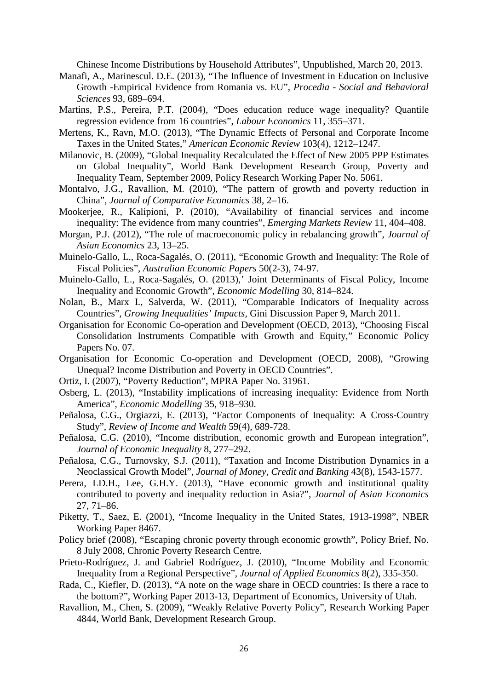Chinese Income Distributions by Household Attributes", Unpublished, March 20, 2013.

- Manafi, A., Marinescul. D.E. (2013), "The Influence of Investment in Education on Inclusive Growth -Empirical Evidence from Romania vs. EU", *Procedia* - *Social and Behavioral Sciences* 93, 689–694.
- Martins, P.S., Pereira, P.T. (2004), "Does education reduce wage inequality? Quantile regression evidence from 16 countries", *Labour Economics* 11, 355–371.
- Mertens, K., Ravn, M.O. (2013), "The Dynamic Effects of Personal and Corporate Income Taxes in the United States," *American Economic Review* 103(4), 1212–1247.
- Milanovic, B. (2009), "Global Inequality Recalculated the Effect of New 2005 PPP Estimates on Global Inequality", World Bank Development Research Group, Poverty and Inequality Team, September 2009, Policy Research Working Paper No. 5061.
- Montalvo, J.G., Ravallion, M. (2010), "The pattern of growth and poverty reduction in China", *Journal of Comparative Economics* 38, 2–16.
- Mookerjee, R., Kalipioni, P. (2010), "Availability of financial services and income inequality: The evidence from many countries", *Emerging Markets Review* 11, 404–408.
- Morgan, P.J. (2012), "The role of macroeconomic policy in rebalancing growth", *Journal of Asian Economics* 23, 13–25.
- Muinelo-Gallo, L., Roca-Sagalés, O. (2011), "Economic Growth and Inequality: The Role of Fiscal Policies", *Australian Economic Papers* 50(2-3), 74-97.
- Muinelo-Gallo, L., Roca-Sagalés, O. (2013),' Joint Determinants of Fiscal Policy, Income Inequality and Economic Growth", *Economic Modelling* 30, 814–824.
- Nolan, B., Marx I., Salverda, W. (2011), "Comparable Indicators of Inequality across Countries", *Growing Inequalities' Impacts,* Gini Discussion Paper 9, March 2011.
- Organisation for Economic Co-operation and Development (OECD, 2013), "Choosing Fiscal Consolidation Instruments Compatible with Growth and Equity," Economic Policy Papers No. 07.
- Organisation for Economic Co-operation and Development (OECD, 2008), "Growing Unequal? Income Distribution and Poverty in OECD Countries".
- Ortiz, I. (2007), "Poverty Reduction", MPRA Paper No. 31961.
- Osberg, L. (2013), "Instability implications of increasing inequality: Evidence from North America", *Economic Modelling* 35, 918–930.
- Peñalosa, C.G., Orgiazzi, E. (2013), "Factor Components of Inequality: A Cross-Country Study", *Review of Income and Wealth* 59(4), 689-728.
- Peñalosa, C.G. (2010), "Income distribution, economic growth and European integration", *Journal of Economic Inequality* 8, 277–292.
- Peñalosa, C.G., Turnovsky, S.J. (2011), "Taxation and Income Distribution Dynamics in a Neoclassical Growth Model", *Journal of Money, Credit and Banking* 43(8), 1543-1577.
- Perera, LD.H., Lee, G.H.Y. (2013), "Have economic growth and institutional quality contributed to poverty and inequality reduction in Asia?", *Journal of Asian Economics* 27, 71–86.
- Piketty, T., Saez, E. (2001), "Income Inequality in the United States, 1913-1998", NBER Working Paper 8467.
- Policy brief (2008), "Escaping chronic poverty through economic growth", Policy Brief, No. 8 July 2008, Chronic Poverty Research Centre.
- Prieto-Rodríguez, J. and Gabriel Rodríguez, J. (2010), "Income Mobility and Economic Inequality from a Regional Perspective", *Journal of Applied Economics* 8(2), 335-350.
- Rada, C., Kiefler, D. (2013), "A note on the wage share in OECD countries: Is there a race to the bottom?", Working Paper 2013-13, Department of Economics, University of Utah.
- Ravallion, M., Chen, S. (2009), "Weakly Relative Poverty Policy", Research Working Paper 4844, World Bank, Development Research Group.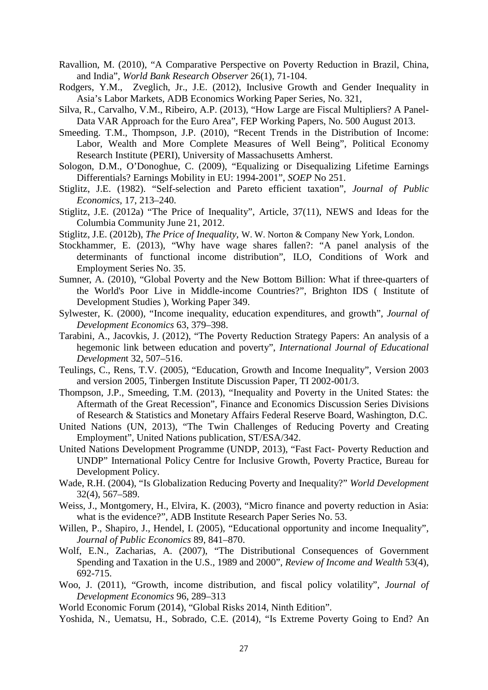- Ravallion, M. (2010), "A Comparative Perspective on Poverty Reduction in Brazil, China, and India", *World Bank Research Observer* 26(1), 71-104.
- Rodgers, Y.M., Zveglich, Jr., J.E. (2012), Inclusive Growth and Gender Inequality in Asia's Labor Markets, ADB Economics Working Paper Series, No. 321,
- Silva, R., Carvalho, V.M., Ribeiro, A.P. (2013), "How Large are Fiscal Multipliers? A Panel-Data VAR Approach for the Euro Area", FEP Working Papers, No. 500 August 2013.
- Smeeding. T.M., Thompson, J.P. (2010), "Recent Trends in the Distribution of Income: Labor, Wealth and More Complete Measures of Well Being", Political Economy Research Institute (PERI), University of Massachusetts Amherst.
- Sologon, D.M., O'Donoghue, C. (2009), "Equalizing or Disequalizing Lifetime Earnings Differentials? Earnings Mobility in EU: 1994-2001", *SOEP* No 251.
- Stiglitz, J.E. (1982). "Self-selection and Pareto efficient taxation"*, Journal of Public Economics,* 17, 213–240.
- Stiglitz, J.E. (2012a) "The Price of Inequality", Article, 37(11), NEWS and Ideas for the Columbia Community June 21, 2012.
- Stiglitz, J.E. (2012b), *The Price of Inequality*, W. W. Norton & Company New York, London.
- Stockhammer, E. (2013), "Why have wage shares fallen?: "A panel analysis of the determinants of functional income distribution", ILO, Conditions of Work and Employment Series No. 35.
- Sumner, A. (2010), "Global Poverty and the New Bottom Billion: What if three-quarters of the World's Poor Live in Middle-income Countries?", Brighton IDS ( Institute of Development Studies ), Working Paper 349.
- Sylwester, K. (2000), "Income inequality, education expenditures, and growth", *Journal of Development Economics* 63, 379–398.
- Tarabini, A., Jacovkis, J. (2012), "The Poverty Reduction Strategy Papers: An analysis of a hegemonic link between education and poverty", *International Journal of Educational Developmen*t 32, 507–516.
- Teulings, C., Rens, T.V. (2005), "Education, Growth and Income Inequality", Version 2003 and version 2005, Tinbergen Institute Discussion Paper, TI 2002-001/3.
- Thompson, J.P., Smeeding, T.M. (2013), "Inequality and Poverty in the United States: the Aftermath of the Great Recession", Finance and Economics Discussion Series Divisions of Research & Statistics and Monetary Affairs Federal Reserve Board, Washington, D.C.
- United Nations (UN, 2013), "The Twin Challenges of Reducing Poverty and Creating Employment", United Nations publication, ST/ESA/342.
- United Nations Development Programme (UNDP, 2013), "Fast Fact- Poverty Reduction and UNDP" International Policy Centre for Inclusive Growth, Poverty Practice, Bureau for Development Policy.
- Wade, R.H. (2004), "Is Globalization Reducing Poverty and Inequality?" *World Development*  32(4), 567–589.
- Weiss, J., Montgomery, H., Elvira, K. (2003), "Micro finance and poverty reduction in Asia: what is the evidence?", ADB Institute Research Paper Series No. 53.
- Willen, P., Shapiro, J., Hendel, I. (2005), "Educational opportunity and income Inequality", *Journal of Public Economics* 89, 841–870.
- Wolf, E.N., Zacharias, A. (2007), "The Distributional Consequences of Government Spending and Taxation in the U.S., 1989 and 2000", *Review of Income and Wealth* 53(4), 692-715.
- Woo, J. (2011), "Growth, income distribution, and fiscal policy volatility", *Journal of Development Economics* 96, 289–313
- World Economic Forum (2014), "Global Risks 2014, Ninth Edition".
- Yoshida, N., Uematsu, H., Sobrado, C.E. (2014), "Is Extreme Poverty Going to End? An